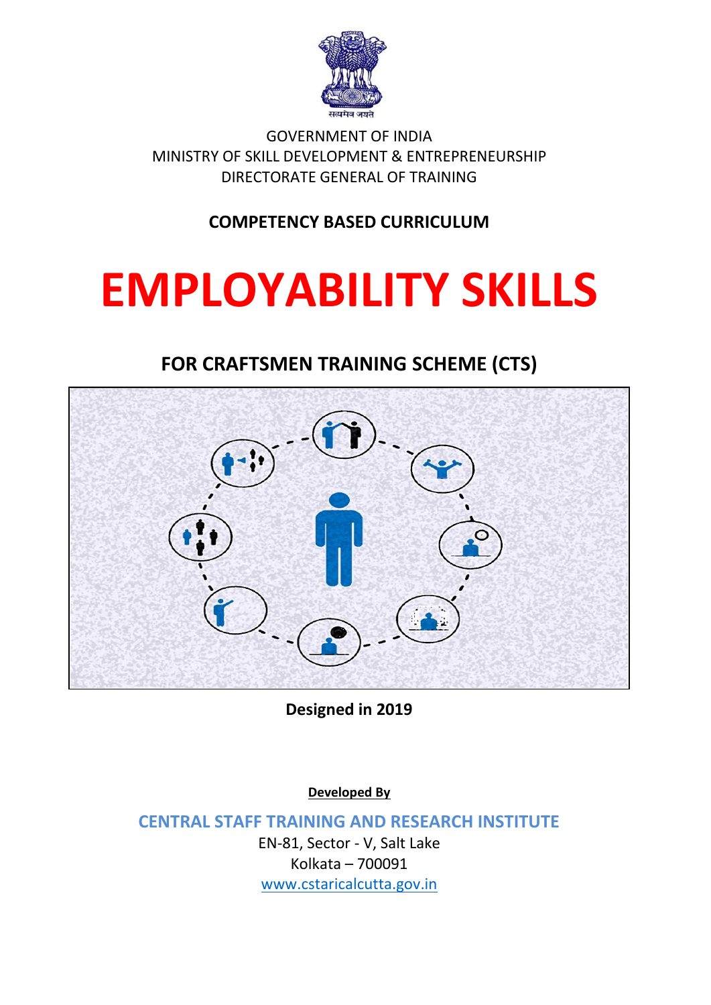

GOVERNMENT OF INDIA MINISTRY OF SKILL DEVELOPMENT & ENTREPRENEURSHIP DIRECTORATE GENERAL OF TRAINING

#### **COMPETENCY BASED CURRICULUM**

# **EMPLOYABILITY SKILLS**

#### **FOR CRAFTSMEN TRAINING SCHEME (CTS)**



**Designed in 2019**

**Developed By**

**CENTRAL STAFF TRAINING AND RESEARCH INSTITUTE**

EN-81, Sector - V, Salt Lake Kolkata – 700091 [www.cstaricalcutta.gov.in](http://www.cstaricalcutta.gov.in/)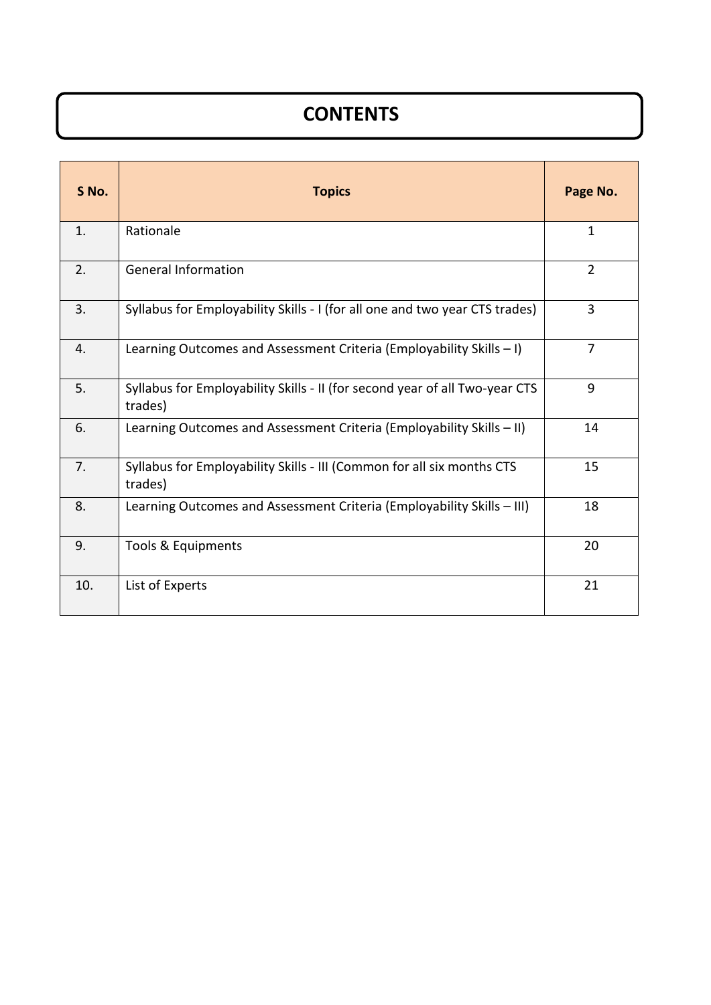# **CONTENTS**

| S No. | <b>Topics</b>                                                                          | Page No.       |
|-------|----------------------------------------------------------------------------------------|----------------|
| 1.    | Rationale                                                                              | $\mathbf{1}$   |
| 2.    | <b>General Information</b>                                                             | $\overline{2}$ |
| 3.    | Syllabus for Employability Skills - I (for all one and two year CTS trades)            | 3              |
| 4.    | Learning Outcomes and Assessment Criteria (Employability Skills $-1$ )                 | $\overline{7}$ |
| 5.    | Syllabus for Employability Skills - II (for second year of all Two-year CTS<br>trades) | 9              |
| 6.    | Learning Outcomes and Assessment Criteria (Employability Skills - II)                  | 14             |
| 7.    | Syllabus for Employability Skills - III (Common for all six months CTS<br>trades)      | 15             |
| 8.    | Learning Outcomes and Assessment Criteria (Employability Skills - III)                 | 18             |
| 9.    | Tools & Equipments                                                                     | 20             |
| 10.   | List of Experts                                                                        | 21             |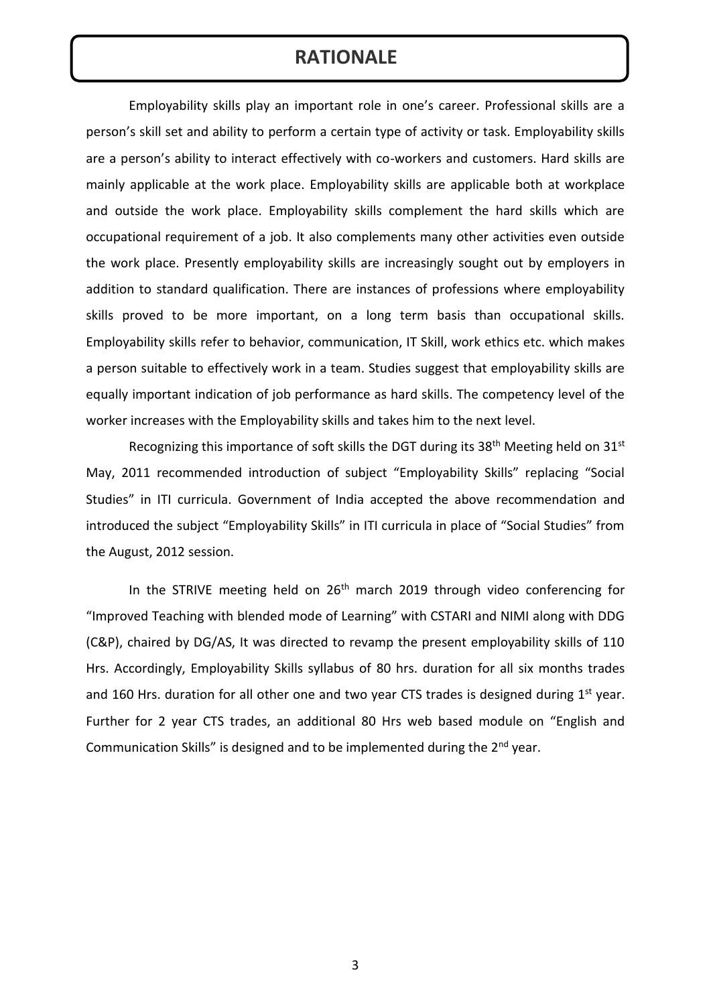#### **RATIONALE**

Employability skills play an important role in one's career. Professional skills are a person's skill set and ability to perform a certain type of activity or task. Employability skills are a person's ability to interact effectively with co-workers and customers. Hard skills are mainly applicable at the work place. Employability skills are applicable both at workplace and outside the work place. Employability skills complement the hard skills which are occupational requirement of a job. It also complements many other activities even outside the work place. Presently employability skills are increasingly sought out by employers in addition to standard qualification. There are instances of professions where employability skills proved to be more important, on a long term basis than occupational skills. Employability skills refer to behavior, communication, IT Skill, work ethics etc. which makes a person suitable to effectively work in a team. Studies suggest that employability skills are equally important indication of job performance as hard skills. The competency level of the worker increases with the Employability skills and takes him to the next level.

Recognizing this importance of soft skills the DGT during its 38<sup>th</sup> Meeting held on 31<sup>st</sup> May, 2011 recommended introduction of subject "Employability Skills" replacing "Social Studies" in ITI curricula. Government of India accepted the above recommendation and introduced the subject "Employability Skills" in ITI curricula in place of "Social Studies" from the August, 2012 session.

In the STRIVE meeting held on 26<sup>th</sup> march 2019 through video conferencing for "Improved Teaching with blended mode of Learning" with CSTARI and NIMI along with DDG (C&P), chaired by DG/AS, It was directed to revamp the present employability skills of 110 Hrs. Accordingly, Employability Skills syllabus of 80 hrs. duration for all six months trades and 160 Hrs. duration for all other one and two year CTS trades is designed during  $1<sup>st</sup>$  year. Further for 2 year CTS trades, an additional 80 Hrs web based module on "English and Communication Skills" is designed and to be implemented during the  $2^{nd}$  year.

3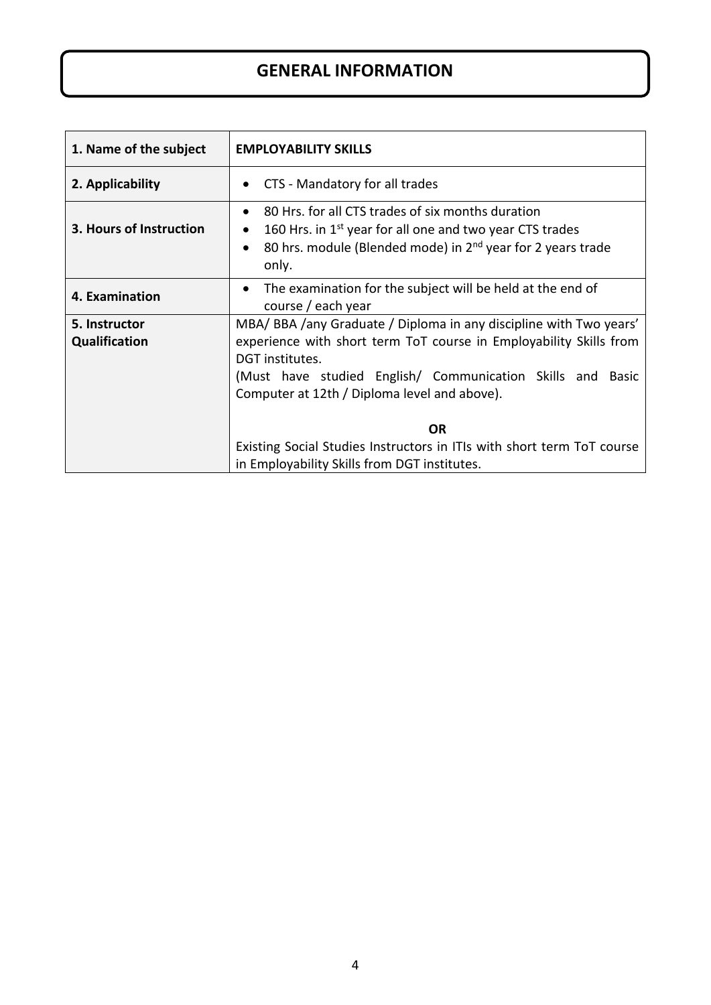#### **GENERAL INFORMATION**

| 1. Name of the subject  | <b>EMPLOYABILITY SKILLS</b>                                                                                                                                                                                                |  |  |
|-------------------------|----------------------------------------------------------------------------------------------------------------------------------------------------------------------------------------------------------------------------|--|--|
| 2. Applicability        | CTS - Mandatory for all trades                                                                                                                                                                                             |  |  |
| 3. Hours of Instruction | 80 Hrs. for all CTS trades of six months duration<br>$\bullet$<br>160 Hrs. in 1 <sup>st</sup> year for all one and two year CTS trades<br>80 hrs. module (Blended mode) in 2 <sup>nd</sup> year for 2 years trade<br>only. |  |  |
| 4. Examination          | The examination for the subject will be held at the end of<br>$\bullet$<br>course / each year                                                                                                                              |  |  |
| 5. Instructor           | MBA/BBA/any Graduate / Diploma in any discipline with Two years'                                                                                                                                                           |  |  |
| Qualification           | experience with short term ToT course in Employability Skills from<br>DGT institutes.<br>(Must have studied English/ Communication Skills and Basic<br>Computer at 12th / Diploma level and above).                        |  |  |
|                         | <b>OR</b>                                                                                                                                                                                                                  |  |  |
|                         | Existing Social Studies Instructors in ITIs with short term ToT course<br>in Employability Skills from DGT institutes.                                                                                                     |  |  |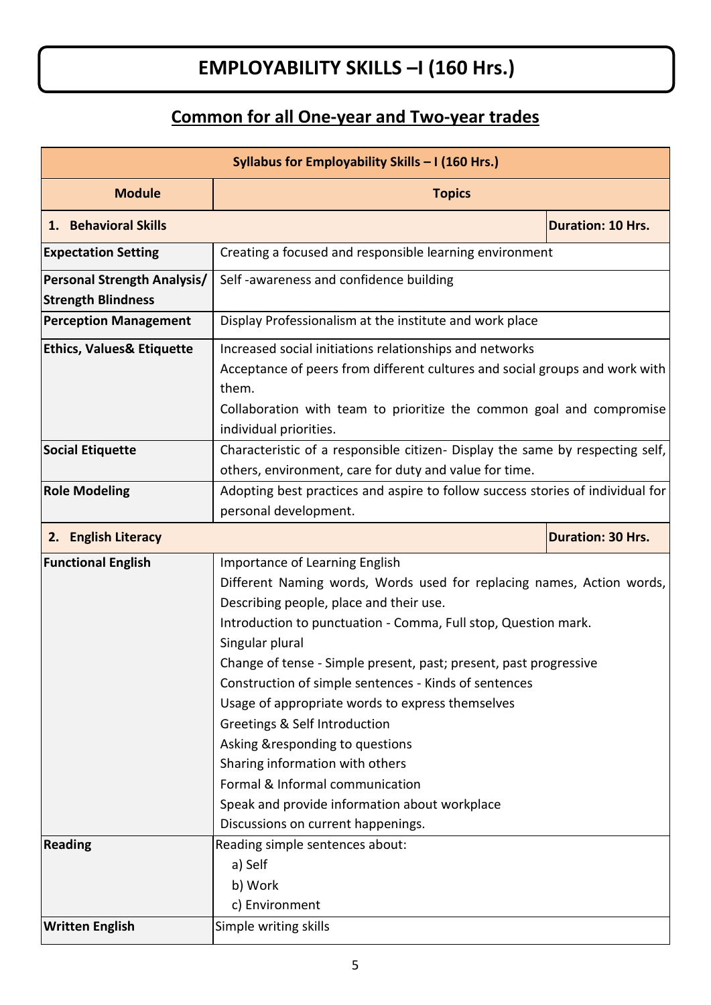# **EMPLOYABILITY SKILLS –I (160 Hrs.)**

# **Common for all One-year and Two-year trades**

| Syllabus for Employability Skills - I (160 Hrs.) |                                                                                |                          |  |
|--------------------------------------------------|--------------------------------------------------------------------------------|--------------------------|--|
| <b>Module</b>                                    | <b>Topics</b>                                                                  |                          |  |
| 1. Behavioral Skills                             |                                                                                | <b>Duration: 10 Hrs.</b> |  |
| <b>Expectation Setting</b>                       | Creating a focused and responsible learning environment                        |                          |  |
| <b>Personal Strength Analysis/</b>               | Self-awareness and confidence building                                         |                          |  |
| <b>Strength Blindness</b>                        |                                                                                |                          |  |
| <b>Perception Management</b>                     | Display Professionalism at the institute and work place                        |                          |  |
| <b>Ethics, Values&amp; Etiquette</b>             | Increased social initiations relationships and networks                        |                          |  |
|                                                  | Acceptance of peers from different cultures and social groups and work with    |                          |  |
|                                                  | them.                                                                          |                          |  |
|                                                  | Collaboration with team to prioritize the common goal and compromise           |                          |  |
|                                                  | individual priorities.                                                         |                          |  |
| <b>Social Etiquette</b>                          | Characteristic of a responsible citizen- Display the same by respecting self,  |                          |  |
|                                                  | others, environment, care for duty and value for time.                         |                          |  |
| <b>Role Modeling</b>                             | Adopting best practices and aspire to follow success stories of individual for |                          |  |
| personal development.                            |                                                                                |                          |  |
| 2. English Literacy                              |                                                                                | <b>Duration: 30 Hrs.</b> |  |
| <b>Functional English</b>                        | Importance of Learning English                                                 |                          |  |
|                                                  | Different Naming words, Words used for replacing names, Action words,          |                          |  |
|                                                  | Describing people, place and their use.                                        |                          |  |
|                                                  | Introduction to punctuation - Comma, Full stop, Question mark.                 |                          |  |
|                                                  | Singular plural                                                                |                          |  |
|                                                  | Change of tense - Simple present, past; present, past progressive              |                          |  |
|                                                  | Construction of simple sentences - Kinds of sentences                          |                          |  |
|                                                  | Usage of appropriate words to express themselves                               |                          |  |
|                                                  | Greetings & Self Introduction                                                  |                          |  |
|                                                  | Asking &responding to questions                                                |                          |  |
|                                                  | Sharing information with others                                                |                          |  |
|                                                  | Formal & Informal communication                                                |                          |  |
|                                                  | Speak and provide information about workplace                                  |                          |  |
|                                                  | Discussions on current happenings.                                             |                          |  |
| <b>Reading</b>                                   | Reading simple sentences about:                                                |                          |  |
|                                                  | a) Self                                                                        |                          |  |
|                                                  | b) Work                                                                        |                          |  |
|                                                  | c) Environment                                                                 |                          |  |
| <b>Written English</b>                           | Simple writing skills                                                          |                          |  |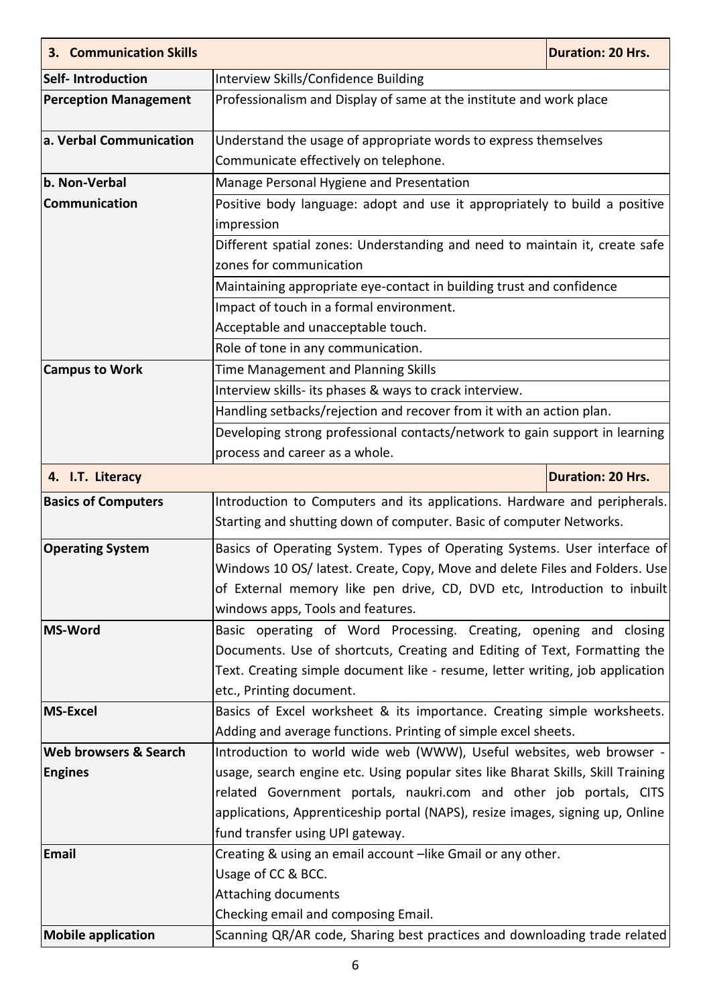| <b>3. Communication Skills</b> |                                                                                                                                                                                                                                                                          | <b>Duration: 20 Hrs.</b> |
|--------------------------------|--------------------------------------------------------------------------------------------------------------------------------------------------------------------------------------------------------------------------------------------------------------------------|--------------------------|
| <b>Self-Introduction</b>       | Interview Skills/Confidence Building                                                                                                                                                                                                                                     |                          |
| <b>Perception Management</b>   | Professionalism and Display of same at the institute and work place                                                                                                                                                                                                      |                          |
| a. Verbal Communication        | Understand the usage of appropriate words to express themselves                                                                                                                                                                                                          |                          |
|                                | Communicate effectively on telephone.                                                                                                                                                                                                                                    |                          |
| b. Non-Verbal                  | Manage Personal Hygiene and Presentation                                                                                                                                                                                                                                 |                          |
| Communication                  | Positive body language: adopt and use it appropriately to build a positive                                                                                                                                                                                               |                          |
|                                | impression                                                                                                                                                                                                                                                               |                          |
|                                | Different spatial zones: Understanding and need to maintain it, create safe                                                                                                                                                                                              |                          |
|                                | zones for communication                                                                                                                                                                                                                                                  |                          |
|                                | Maintaining appropriate eye-contact in building trust and confidence                                                                                                                                                                                                     |                          |
|                                | Impact of touch in a formal environment.                                                                                                                                                                                                                                 |                          |
|                                | Acceptable and unacceptable touch.                                                                                                                                                                                                                                       |                          |
|                                | Role of tone in any communication.                                                                                                                                                                                                                                       |                          |
| <b>Campus to Work</b>          | Time Management and Planning Skills                                                                                                                                                                                                                                      |                          |
|                                | Interview skills- its phases & ways to crack interview.                                                                                                                                                                                                                  |                          |
|                                | Handling setbacks/rejection and recover from it with an action plan.                                                                                                                                                                                                     |                          |
|                                | Developing strong professional contacts/network to gain support in learning                                                                                                                                                                                              |                          |
|                                | process and career as a whole.                                                                                                                                                                                                                                           |                          |
| 4. I.T. Literacy               |                                                                                                                                                                                                                                                                          | <b>Duration: 20 Hrs.</b> |
| <b>Basics of Computers</b>     | Introduction to Computers and its applications. Hardware and peripherals.<br>Starting and shutting down of computer. Basic of computer Networks.                                                                                                                         |                          |
| <b>Operating System</b>        | Basics of Operating System. Types of Operating Systems. User interface of<br>Windows 10 OS/ latest. Create, Copy, Move and delete Files and Folders. Use<br>of External memory like pen drive, CD, DVD etc, Introduction to inbuilt<br>windows apps, Tools and features. |                          |
| <b>MS-Word</b>                 | Basic operating of Word Processing. Creating, opening and closing                                                                                                                                                                                                        |                          |
|                                | Documents. Use of shortcuts, Creating and Editing of Text, Formatting the                                                                                                                                                                                                |                          |
|                                | Text. Creating simple document like - resume, letter writing, job application                                                                                                                                                                                            |                          |
|                                | etc., Printing document.                                                                                                                                                                                                                                                 |                          |
| <b>MS-Excel</b>                | Basics of Excel worksheet & its importance. Creating simple worksheets.                                                                                                                                                                                                  |                          |
|                                | Adding and average functions. Printing of simple excel sheets.                                                                                                                                                                                                           |                          |
| Web browsers & Search          | Introduction to world wide web (WWW), Useful websites, web browser -                                                                                                                                                                                                     |                          |
| <b>Engines</b>                 | usage, search engine etc. Using popular sites like Bharat Skills, Skill Training                                                                                                                                                                                         |                          |
|                                | related Government portals, naukri.com and other job portals, CITS                                                                                                                                                                                                       |                          |
|                                | applications, Apprenticeship portal (NAPS), resize images, signing up, Online                                                                                                                                                                                            |                          |
|                                | fund transfer using UPI gateway.                                                                                                                                                                                                                                         |                          |
| Email                          | Creating & using an email account -like Gmail or any other.                                                                                                                                                                                                              |                          |
|                                | Usage of CC & BCC.                                                                                                                                                                                                                                                       |                          |
|                                | <b>Attaching documents</b>                                                                                                                                                                                                                                               |                          |
|                                | Checking email and composing Email.                                                                                                                                                                                                                                      |                          |
| <b>Mobile application</b>      | Scanning QR/AR code, Sharing best practices and downloading trade related                                                                                                                                                                                                |                          |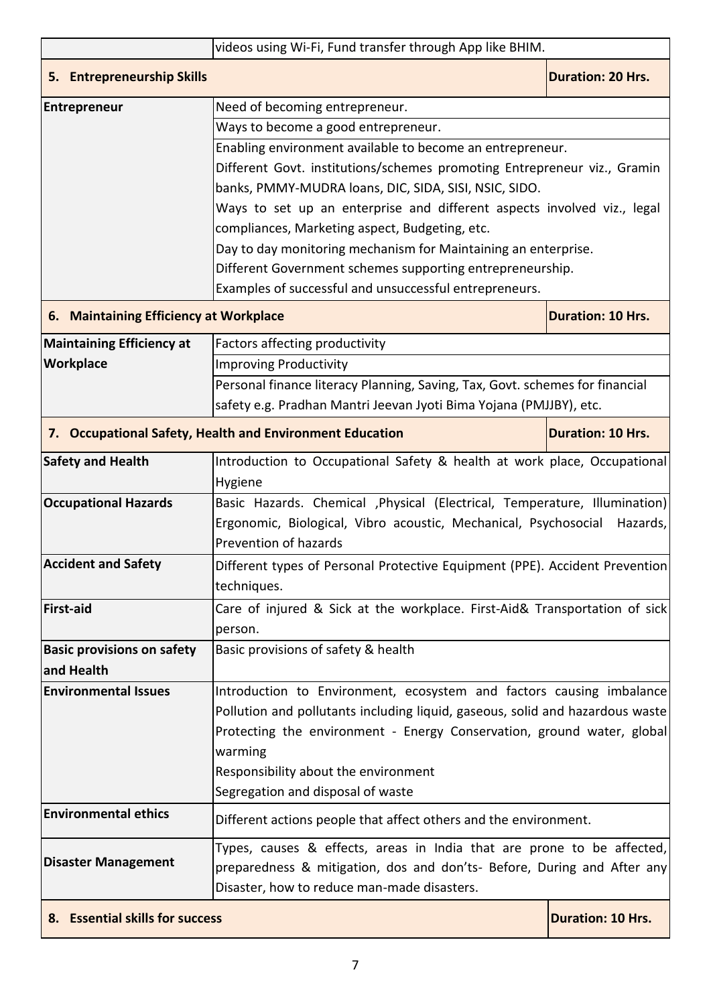| videos using Wi-Fi, Fund transfer through App like BHIM.                                                  |                                                                               |                          |  |
|-----------------------------------------------------------------------------------------------------------|-------------------------------------------------------------------------------|--------------------------|--|
| 5. Entrepreneurship Skills                                                                                |                                                                               | <b>Duration: 20 Hrs.</b> |  |
| <b>Entrepreneur</b>                                                                                       | Need of becoming entrepreneur.                                                |                          |  |
|                                                                                                           |                                                                               |                          |  |
|                                                                                                           | Enabling environment available to become an entrepreneur.                     |                          |  |
|                                                                                                           | Different Govt. institutions/schemes promoting Entrepreneur viz., Gramin      |                          |  |
|                                                                                                           | banks, PMMY-MUDRA loans, DIC, SIDA, SISI, NSIC, SIDO.                         |                          |  |
|                                                                                                           | Ways to set up an enterprise and different aspects involved viz., legal       |                          |  |
|                                                                                                           | compliances, Marketing aspect, Budgeting, etc.                                |                          |  |
|                                                                                                           | Day to day monitoring mechanism for Maintaining an enterprise.                |                          |  |
|                                                                                                           | Different Government schemes supporting entrepreneurship.                     |                          |  |
|                                                                                                           | Examples of successful and unsuccessful entrepreneurs.                        |                          |  |
| 6. Maintaining Efficiency at Workplace                                                                    |                                                                               | <b>Duration: 10 Hrs.</b> |  |
| <b>Maintaining Efficiency at</b>                                                                          | Factors affecting productivity                                                |                          |  |
| Workplace                                                                                                 | <b>Improving Productivity</b>                                                 |                          |  |
|                                                                                                           | Personal finance literacy Planning, Saving, Tax, Govt. schemes for financial  |                          |  |
|                                                                                                           | safety e.g. Pradhan Mantri Jeevan Jyoti Bima Yojana (PMJJBY), etc.            |                          |  |
| 7. Occupational Safety, Health and Environment Education                                                  |                                                                               | <b>Duration: 10 Hrs.</b> |  |
| <b>Safety and Health</b>                                                                                  | Introduction to Occupational Safety & health at work place, Occupational      |                          |  |
|                                                                                                           | Hygiene                                                                       |                          |  |
| <b>Occupational Hazards</b><br>Basic Hazards. Chemical , Physical (Electrical, Temperature, Illumination) |                                                                               |                          |  |
|                                                                                                           | Ergonomic, Biological, Vibro acoustic, Mechanical, Psychosocial               | Hazards,                 |  |
|                                                                                                           | Prevention of hazards                                                         |                          |  |
| <b>Accident and Safety</b>                                                                                | Different types of Personal Protective Equipment (PPE). Accident Prevention   |                          |  |
|                                                                                                           | techniques.                                                                   |                          |  |
| <b>First-aid</b>                                                                                          | Care of injured & Sick at the workplace. First-Aid& Transportation of sick    |                          |  |
|                                                                                                           | person.                                                                       |                          |  |
| <b>Basic provisions on safety</b>                                                                         | Basic provisions of safety & health                                           |                          |  |
| and Health                                                                                                |                                                                               |                          |  |
| <b>Environmental Issues</b>                                                                               | Introduction to Environment, ecosystem and factors causing imbalance          |                          |  |
|                                                                                                           | Pollution and pollutants including liquid, gaseous, solid and hazardous waste |                          |  |
|                                                                                                           | Protecting the environment - Energy Conservation, ground water, global        |                          |  |
|                                                                                                           | warming                                                                       |                          |  |
|                                                                                                           | Responsibility about the environment                                          |                          |  |
|                                                                                                           | Segregation and disposal of waste                                             |                          |  |
| <b>Environmental ethics</b>                                                                               | Different actions people that affect others and the environment.              |                          |  |
| Types, causes & effects, areas in India that are prone to be affected,                                    |                                                                               |                          |  |
| <b>Disaster Management</b>                                                                                | preparedness & mitigation, dos and don'ts- Before, During and After any       |                          |  |
|                                                                                                           | Disaster, how to reduce man-made disasters.                                   |                          |  |
| 8. Essential skills for success                                                                           |                                                                               | <b>Duration: 10 Hrs.</b> |  |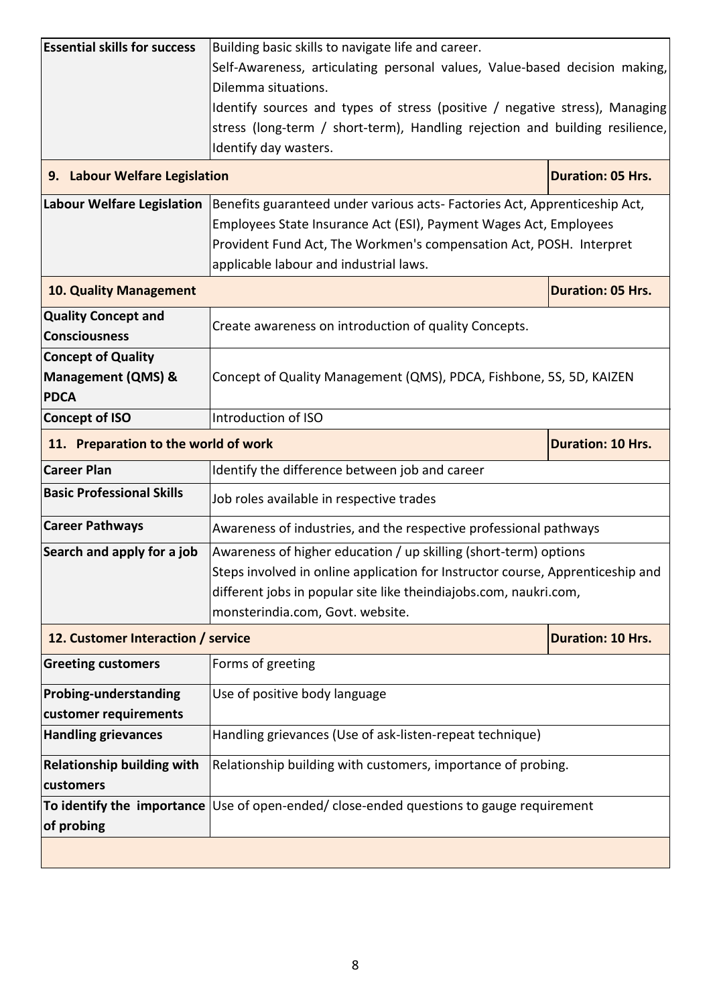| <b>Essential skills for success</b>                | Building basic skills to navigate life and career.                                                |                          |  |
|----------------------------------------------------|---------------------------------------------------------------------------------------------------|--------------------------|--|
|                                                    | Self-Awareness, articulating personal values, Value-based decision making,<br>Dilemma situations. |                          |  |
|                                                    | Identify sources and types of stress (positive / negative stress), Managing                       |                          |  |
|                                                    | stress (long-term / short-term), Handling rejection and building resilience,                      |                          |  |
|                                                    | Identify day wasters.                                                                             |                          |  |
| 9. Labour Welfare Legislation                      |                                                                                                   | <b>Duration: 05 Hrs.</b> |  |
| Labour Welfare Legislation                         | Benefits guaranteed under various acts- Factories Act, Apprenticeship Act,                        |                          |  |
|                                                    | Employees State Insurance Act (ESI), Payment Wages Act, Employees                                 |                          |  |
|                                                    | Provident Fund Act, The Workmen's compensation Act, POSH. Interpret                               |                          |  |
|                                                    | applicable labour and industrial laws.                                                            |                          |  |
| <b>10. Quality Management</b>                      | <b>Duration: 05 Hrs.</b>                                                                          |                          |  |
| <b>Quality Concept and</b><br><b>Consciousness</b> | Create awareness on introduction of quality Concepts.                                             |                          |  |
| <b>Concept of Quality</b>                          |                                                                                                   |                          |  |
| <b>Management (QMS) &amp;</b><br><b>PDCA</b>       | Concept of Quality Management (QMS), PDCA, Fishbone, 5S, 5D, KAIZEN                               |                          |  |
| <b>Concept of ISO</b>                              | Introduction of ISO                                                                               |                          |  |
| 11. Preparation to the world of work               | <b>Duration: 10 Hrs.</b>                                                                          |                          |  |
| <b>Career Plan</b>                                 | Identify the difference between job and career                                                    |                          |  |
| <b>Basic Professional Skills</b>                   | Job roles available in respective trades                                                          |                          |  |
| <b>Career Pathways</b>                             | Awareness of industries, and the respective professional pathways                                 |                          |  |
| Search and apply for a job                         | Awareness of higher education / up skilling (short-term) options                                  |                          |  |
|                                                    | Steps involved in online application for Instructor course, Apprenticeship and                    |                          |  |
|                                                    | different jobs in popular site like theindiajobs.com, naukri.com,                                 |                          |  |
|                                                    | monsterindia.com, Govt. website.                                                                  |                          |  |
| 12. Customer Interaction / service                 |                                                                                                   | <b>Duration: 10 Hrs.</b> |  |
| <b>Greeting customers</b>                          | Forms of greeting                                                                                 |                          |  |
| Probing-understanding                              | Use of positive body language                                                                     |                          |  |
| customer requirements                              |                                                                                                   |                          |  |
| <b>Handling grievances</b>                         | Handling grievances (Use of ask-listen-repeat technique)                                          |                          |  |
| <b>Relationship building with</b>                  | Relationship building with customers, importance of probing.                                      |                          |  |
| customers                                          |                                                                                                   |                          |  |
| of probing                                         | To identify the importance Use of open-ended/ close-ended questions to gauge requirement          |                          |  |
|                                                    |                                                                                                   |                          |  |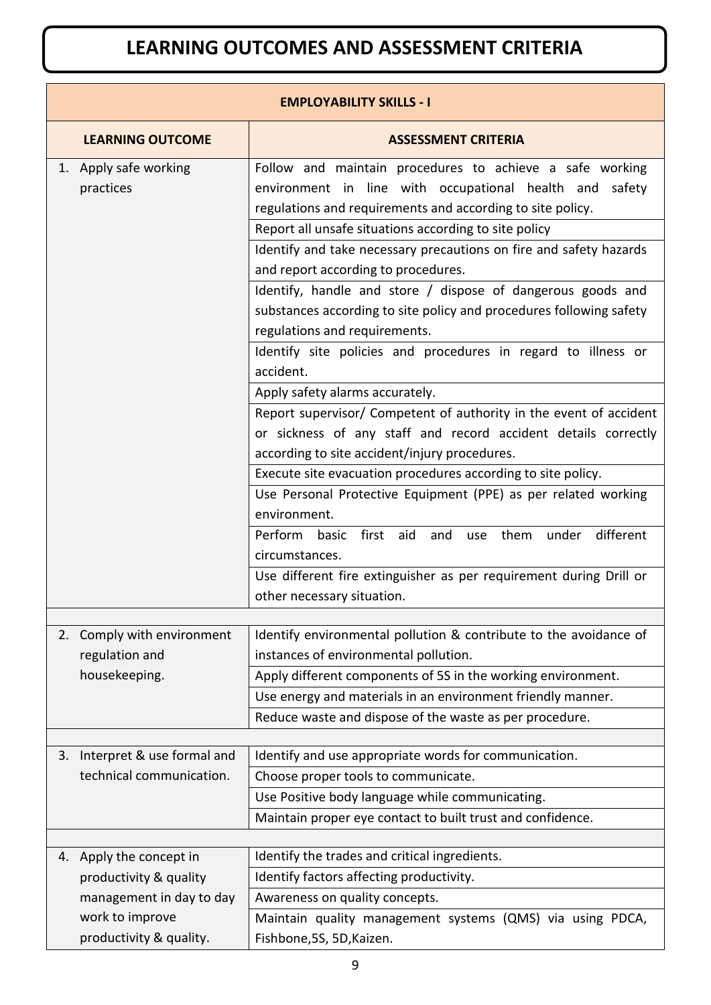# **LEARNING OUTCOMES AND ASSESSMENT CRITERIA**

| <b>EMPLOYABILITY SKILLS - I</b>             |                                                                                                                                                                                                                          |  |  |
|---------------------------------------------|--------------------------------------------------------------------------------------------------------------------------------------------------------------------------------------------------------------------------|--|--|
| <b>LEARNING OUTCOME</b>                     | <b>ASSESSMENT CRITERIA</b>                                                                                                                                                                                               |  |  |
| 1. Apply safe working<br>practices          | Follow and maintain procedures to achieve a safe working<br>environment in line with occupational health and safety<br>regulations and requirements and according to site policy.                                        |  |  |
|                                             | Report all unsafe situations according to site policy<br>Identify and take necessary precautions on fire and safety hazards<br>and report according to procedures.                                                       |  |  |
|                                             | Identify, handle and store / dispose of dangerous goods and<br>substances according to site policy and procedures following safety<br>regulations and requirements.                                                      |  |  |
|                                             | Identify site policies and procedures in regard to illness or<br>accident.                                                                                                                                               |  |  |
|                                             | Apply safety alarms accurately.<br>Report supervisor/ Competent of authority in the event of accident<br>or sickness of any staff and record accident details correctly<br>according to site accident/injury procedures. |  |  |
|                                             | Execute site evacuation procedures according to site policy.<br>Use Personal Protective Equipment (PPE) as per related working                                                                                           |  |  |
|                                             | environment.                                                                                                                                                                                                             |  |  |
|                                             | aid<br>and<br>them<br>under<br>different<br>Perform<br>first<br>basic<br>use<br>circumstances.                                                                                                                           |  |  |
|                                             | Use different fire extinguisher as per requirement during Drill or<br>other necessary situation.                                                                                                                         |  |  |
| Comply with environment<br>2.               | Identify environmental pollution & contribute to the avoidance of                                                                                                                                                        |  |  |
| regulation and                              | instances of environmental pollution.                                                                                                                                                                                    |  |  |
| housekeeping.                               | Apply different components of 5S in the working environment.                                                                                                                                                             |  |  |
|                                             | Use energy and materials in an environment friendly manner.                                                                                                                                                              |  |  |
|                                             | Reduce waste and dispose of the waste as per procedure.                                                                                                                                                                  |  |  |
| 3. Interpret & use formal and               | Identify and use appropriate words for communication.                                                                                                                                                                    |  |  |
| technical communication.                    | Choose proper tools to communicate.                                                                                                                                                                                      |  |  |
|                                             | Use Positive body language while communicating.                                                                                                                                                                          |  |  |
|                                             | Maintain proper eye contact to built trust and confidence.                                                                                                                                                               |  |  |
|                                             |                                                                                                                                                                                                                          |  |  |
| 4. Apply the concept in                     | Identify the trades and critical ingredients.                                                                                                                                                                            |  |  |
| productivity & quality                      | Identify factors affecting productivity.                                                                                                                                                                                 |  |  |
| management in day to day<br>work to improve | Awareness on quality concepts.                                                                                                                                                                                           |  |  |
| productivity & quality.                     | Maintain quality management systems (QMS) via using PDCA,<br>Fishbone, 5S, 5D, Kaizen.                                                                                                                                   |  |  |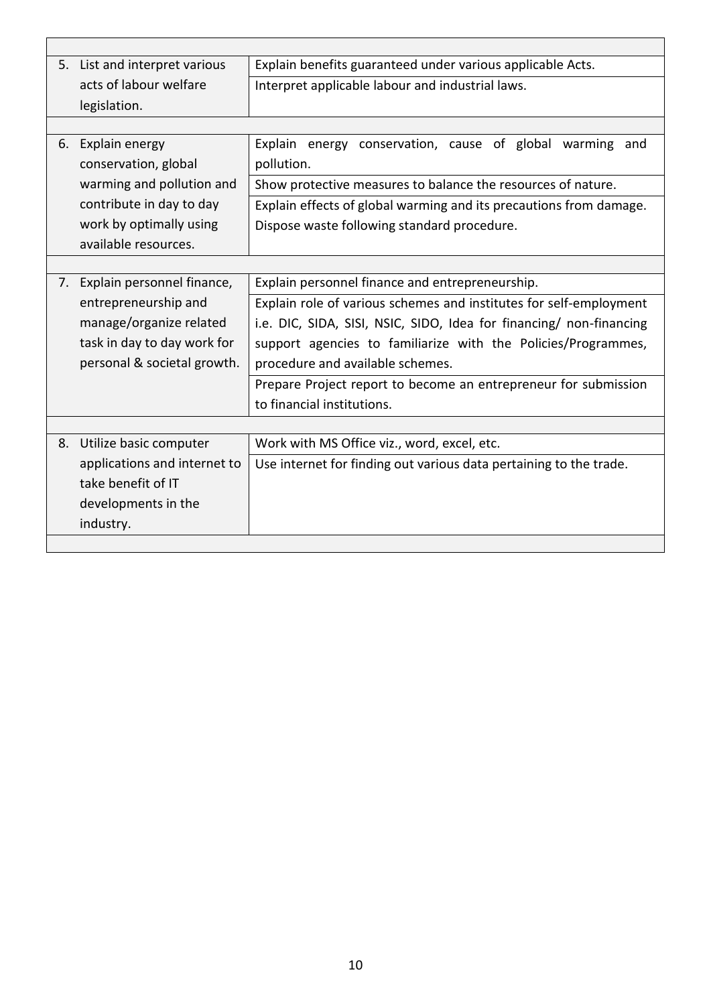|    | 5. List and interpret various | Explain benefits guaranteed under various applicable Acts.          |  |
|----|-------------------------------|---------------------------------------------------------------------|--|
|    | acts of labour welfare        | Interpret applicable labour and industrial laws.                    |  |
|    | legislation.                  |                                                                     |  |
|    |                               |                                                                     |  |
| 6. | Explain energy                | Explain energy conservation, cause of global warming and            |  |
|    | conservation, global          | pollution.                                                          |  |
|    | warming and pollution and     | Show protective measures to balance the resources of nature.        |  |
|    | contribute in day to day      | Explain effects of global warming and its precautions from damage.  |  |
|    | work by optimally using       | Dispose waste following standard procedure.                         |  |
|    | available resources.          |                                                                     |  |
|    |                               |                                                                     |  |
| 7. | Explain personnel finance,    | Explain personnel finance and entrepreneurship.                     |  |
|    | entrepreneurship and          | Explain role of various schemes and institutes for self-employment  |  |
|    | manage/organize related       | i.e. DIC, SIDA, SISI, NSIC, SIDO, Idea for financing/ non-financing |  |
|    | task in day to day work for   | support agencies to familiarize with the Policies/Programmes,       |  |
|    | personal & societal growth.   | procedure and available schemes.                                    |  |
|    |                               | Prepare Project report to become an entrepreneur for submission     |  |
|    |                               | to financial institutions.                                          |  |
|    |                               |                                                                     |  |
| 8. | Utilize basic computer        | Work with MS Office viz., word, excel, etc.                         |  |
|    | applications and internet to  | Use internet for finding out various data pertaining to the trade.  |  |
|    | take benefit of IT            |                                                                     |  |
|    | developments in the           |                                                                     |  |
|    | industry.                     |                                                                     |  |
|    |                               |                                                                     |  |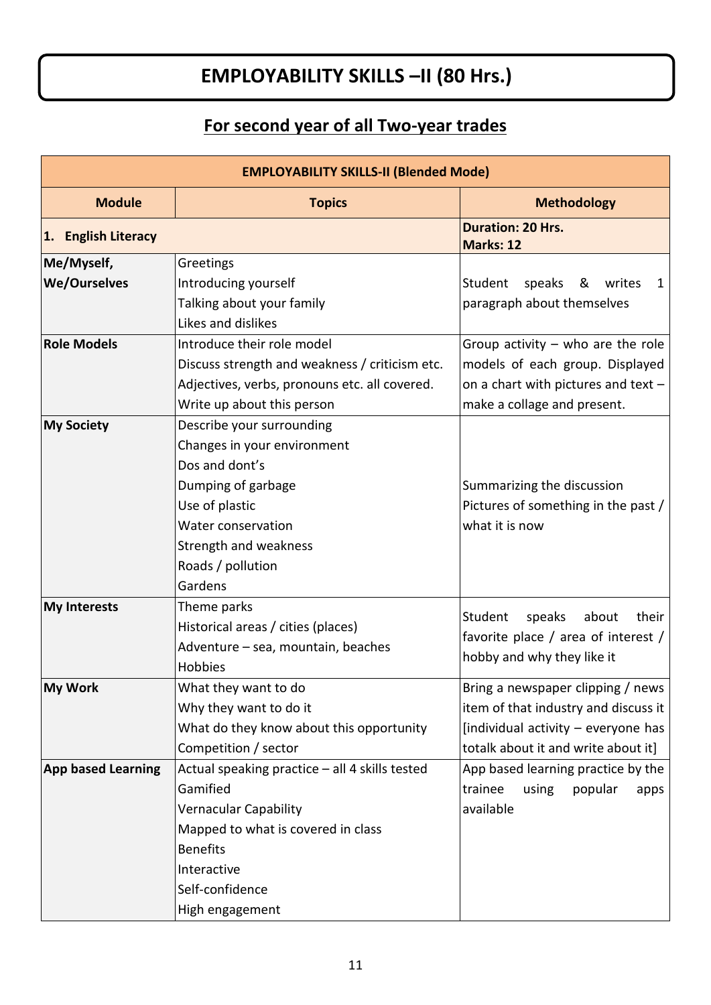# **EMPLOYABILITY SKILLS –II (80 Hrs.)**

# **For second year of all Two-year trades**

| <b>EMPLOYABILITY SKILLS-II (Blended Mode)</b> |                                                |                                       |  |
|-----------------------------------------------|------------------------------------------------|---------------------------------------|--|
| <b>Module</b>                                 | <b>Topics</b>                                  | <b>Methodology</b>                    |  |
| 1. English Literacy                           |                                                | <b>Duration: 20 Hrs.</b><br>Marks: 12 |  |
| Me/Myself,                                    | Greetings                                      |                                       |  |
| <b>We/Ourselves</b>                           | Introducing yourself                           | Student<br>speaks &<br>writes<br>1    |  |
|                                               | Talking about your family                      | paragraph about themselves            |  |
|                                               | Likes and dislikes                             |                                       |  |
| <b>Role Models</b>                            | Introduce their role model                     | Group activity $-$ who are the role   |  |
|                                               | Discuss strength and weakness / criticism etc. | models of each group. Displayed       |  |
|                                               | Adjectives, verbs, pronouns etc. all covered.  | on a chart with pictures and text -   |  |
|                                               | Write up about this person                     | make a collage and present.           |  |
| <b>My Society</b>                             | Describe your surrounding                      |                                       |  |
|                                               | Changes in your environment                    |                                       |  |
|                                               | Dos and dont's                                 |                                       |  |
|                                               | Dumping of garbage                             | Summarizing the discussion            |  |
|                                               | Use of plastic                                 | Pictures of something in the past /   |  |
|                                               | Water conservation                             | what it is now                        |  |
|                                               | Strength and weakness                          |                                       |  |
|                                               | Roads / pollution                              |                                       |  |
|                                               | Gardens                                        |                                       |  |
| <b>My Interests</b>                           | Theme parks                                    | their<br>Student                      |  |
|                                               | Historical areas / cities (places)             | speaks<br>about                       |  |
|                                               | Adventure - sea, mountain, beaches             | favorite place / area of interest /   |  |
|                                               | Hobbies                                        | hobby and why they like it            |  |
| <b>My Work</b>                                | What they want to do                           | Bring a newspaper clipping / news     |  |
|                                               | Why they want to do it                         | item of that industry and discuss it  |  |
|                                               | What do they know about this opportunity       | [individual activity - everyone has   |  |
|                                               | Competition / sector                           | totalk about it and write about it]   |  |
| <b>App based Learning</b>                     | Actual speaking practice - all 4 skills tested | App based learning practice by the    |  |
|                                               | Gamified                                       | popular<br>trainee<br>using<br>apps   |  |
|                                               | <b>Vernacular Capability</b>                   | available                             |  |
|                                               | Mapped to what is covered in class             |                                       |  |
|                                               | <b>Benefits</b>                                |                                       |  |
|                                               | Interactive                                    |                                       |  |
|                                               | Self-confidence                                |                                       |  |
|                                               | High engagement                                |                                       |  |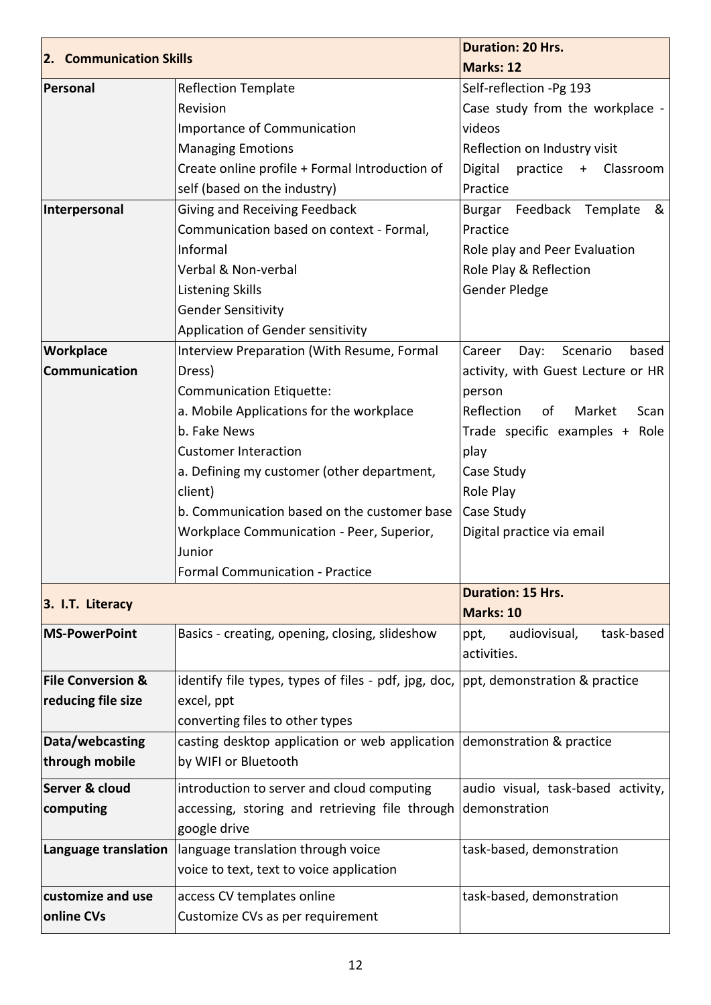| 2. Communication Skills<br>Personal                                                                       | <b>Reflection Template</b>                                                                                                                                                                                                                             | Marks: 12<br>Self-reflection -Pg 193                                |
|-----------------------------------------------------------------------------------------------------------|--------------------------------------------------------------------------------------------------------------------------------------------------------------------------------------------------------------------------------------------------------|---------------------------------------------------------------------|
|                                                                                                           |                                                                                                                                                                                                                                                        |                                                                     |
|                                                                                                           |                                                                                                                                                                                                                                                        |                                                                     |
|                                                                                                           | Revision                                                                                                                                                                                                                                               | Case study from the workplace -                                     |
|                                                                                                           | Importance of Communication                                                                                                                                                                                                                            | videos                                                              |
|                                                                                                           | <b>Managing Emotions</b>                                                                                                                                                                                                                               | Reflection on Industry visit                                        |
|                                                                                                           | Create online profile + Formal Introduction of                                                                                                                                                                                                         | Digital<br>practice +<br>Classroom                                  |
|                                                                                                           | self (based on the industry)                                                                                                                                                                                                                           | Practice                                                            |
| Interpersonal                                                                                             | Giving and Receiving Feedback                                                                                                                                                                                                                          | Burgar Feedback Template<br>&                                       |
|                                                                                                           | Communication based on context - Formal,                                                                                                                                                                                                               | Practice                                                            |
|                                                                                                           | Informal                                                                                                                                                                                                                                               | Role play and Peer Evaluation                                       |
|                                                                                                           | Verbal & Non-verbal                                                                                                                                                                                                                                    | Role Play & Reflection                                              |
|                                                                                                           | <b>Listening Skills</b>                                                                                                                                                                                                                                | Gender Pledge                                                       |
|                                                                                                           | <b>Gender Sensitivity</b>                                                                                                                                                                                                                              |                                                                     |
|                                                                                                           | Application of Gender sensitivity                                                                                                                                                                                                                      |                                                                     |
| Workplace                                                                                                 | Interview Preparation (With Resume, Formal                                                                                                                                                                                                             | Scenario<br>Career<br>Day:<br>based                                 |
| Communication                                                                                             | Dress)                                                                                                                                                                                                                                                 | activity, with Guest Lecture or HR                                  |
|                                                                                                           | Communication Etiquette:                                                                                                                                                                                                                               | person                                                              |
|                                                                                                           | a. Mobile Applications for the workplace                                                                                                                                                                                                               | Reflection<br>Market<br>of<br>Scan                                  |
|                                                                                                           | b. Fake News                                                                                                                                                                                                                                           | Trade specific examples + Role                                      |
|                                                                                                           | <b>Customer Interaction</b>                                                                                                                                                                                                                            | play                                                                |
|                                                                                                           | a. Defining my customer (other department,                                                                                                                                                                                                             | Case Study                                                          |
|                                                                                                           | client)                                                                                                                                                                                                                                                | Role Play                                                           |
|                                                                                                           | b. Communication based on the customer base                                                                                                                                                                                                            | Case Study                                                          |
|                                                                                                           | Workplace Communication - Peer, Superior,                                                                                                                                                                                                              | Digital practice via email                                          |
|                                                                                                           | Junior                                                                                                                                                                                                                                                 |                                                                     |
|                                                                                                           | <b>Formal Communication - Practice</b>                                                                                                                                                                                                                 |                                                                     |
|                                                                                                           |                                                                                                                                                                                                                                                        | <b>Duration: 15 Hrs.</b>                                            |
| 3. I.T. Literacy                                                                                          |                                                                                                                                                                                                                                                        | Marks: 10                                                           |
| <b>MS-PowerPoint</b>                                                                                      | Basics - creating, opening, closing, slideshow                                                                                                                                                                                                         | task-based<br>audiovisual,<br>ppt,                                  |
|                                                                                                           |                                                                                                                                                                                                                                                        | activities.                                                         |
|                                                                                                           |                                                                                                                                                                                                                                                        |                                                                     |
|                                                                                                           |                                                                                                                                                                                                                                                        |                                                                     |
|                                                                                                           |                                                                                                                                                                                                                                                        |                                                                     |
|                                                                                                           |                                                                                                                                                                                                                                                        |                                                                     |
|                                                                                                           |                                                                                                                                                                                                                                                        |                                                                     |
|                                                                                                           |                                                                                                                                                                                                                                                        |                                                                     |
|                                                                                                           |                                                                                                                                                                                                                                                        |                                                                     |
| computing                                                                                                 | accessing, storing and retrieving file through                                                                                                                                                                                                         | demonstration                                                       |
|                                                                                                           | google drive                                                                                                                                                                                                                                           |                                                                     |
| Language translation                                                                                      | language translation through voice                                                                                                                                                                                                                     | task-based, demonstration                                           |
|                                                                                                           | voice to text, text to voice application                                                                                                                                                                                                               |                                                                     |
| customize and use                                                                                         | access CV templates online                                                                                                                                                                                                                             | task-based, demonstration                                           |
| online CVs                                                                                                | Customize CVs as per requirement                                                                                                                                                                                                                       |                                                                     |
| <b>File Conversion &amp;</b><br>reducing file size<br>Data/webcasting<br>through mobile<br>Server & cloud | identify file types, types of files - pdf, jpg, doc,<br>excel, ppt<br>converting files to other types<br>casting desktop application or web application demonstration & practice<br>by WIFI or Bluetooth<br>introduction to server and cloud computing | ppt, demonstration & practice<br>audio visual, task-based activity, |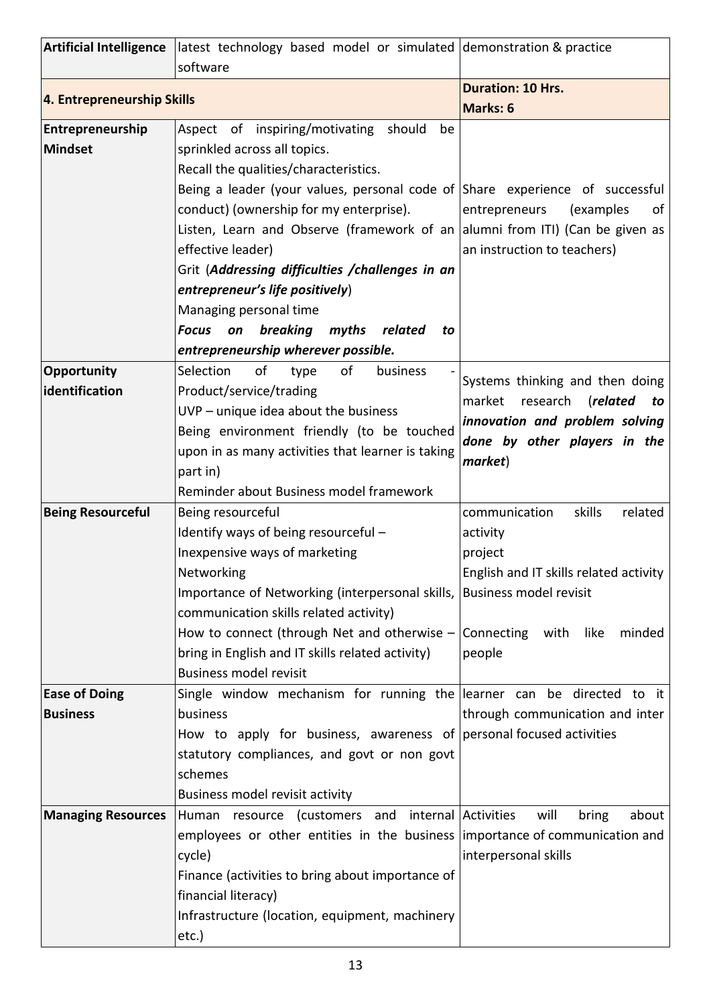|                            | Artificial Intelligence latest technology based model or simulated demonstration & practice<br>software |                                               |
|----------------------------|---------------------------------------------------------------------------------------------------------|-----------------------------------------------|
|                            |                                                                                                         | <b>Duration: 10 Hrs.</b>                      |
| 4. Entrepreneurship Skills |                                                                                                         | <b>Marks: 6</b>                               |
| Entrepreneurship           | Aspect of inspiring/motivating<br>should<br>be                                                          |                                               |
| <b>Mindset</b>             | sprinkled across all topics.                                                                            |                                               |
|                            | Recall the qualities/characteristics.                                                                   |                                               |
|                            | Being a leader (your values, personal code of Share experience of successful                            |                                               |
|                            | conduct) (ownership for my enterprise).                                                                 | entrepreneurs<br>(examples<br>οf              |
|                            | Listen, Learn and Observe (framework of an allumni from ITI) (Can be given as                           |                                               |
|                            | effective leader)                                                                                       | an instruction to teachers)                   |
|                            | Grit (Addressing difficulties / challenges in an                                                        |                                               |
|                            | entrepreneur's life positively)                                                                         |                                               |
|                            | Managing personal time                                                                                  |                                               |
|                            | breaking<br><b>Focus</b><br>on<br>myths<br>related<br>to                                                |                                               |
|                            | entrepreneurship wherever possible.                                                                     |                                               |
| Opportunity                | of<br>Selection<br>of<br>type<br>business                                                               | Systems thinking and then doing               |
| identification             | Product/service/trading                                                                                 | market<br>research ( <b>related</b><br>to     |
|                            | UVP - unique idea about the business                                                                    | innovation and problem solving                |
|                            | Being environment friendly (to be touched                                                               | done by other players in the                  |
|                            | upon in as many activities that learner is taking                                                       | market)                                       |
|                            | part in)                                                                                                |                                               |
|                            | Reminder about Business model framework                                                                 |                                               |
| <b>Being Resourceful</b>   | Being resourceful                                                                                       | communication<br>skills<br>related            |
|                            | Identify ways of being resourceful -                                                                    | activity                                      |
|                            | Inexpensive ways of marketing                                                                           | project                                       |
|                            | Networking                                                                                              | English and IT skills related activity        |
|                            | Importance of Networking (interpersonal skills,  Business model revisit                                 |                                               |
|                            | communication skills related activity)                                                                  |                                               |
|                            | How to connect (through Net and otherwise $-$ Connecting with like                                      | minded                                        |
|                            | bring in English and IT skills related activity)                                                        | people                                        |
|                            | <b>Business model revisit</b>                                                                           |                                               |
| <b>Ease of Doing</b>       | Single window mechanism for running the learner can be directed to it                                   |                                               |
| <b>Business</b>            | business                                                                                                | through communication and inter               |
|                            | How to apply for business, awareness of personal focused activities                                     |                                               |
|                            | statutory compliances, and govt or non govt                                                             |                                               |
|                            | schemes                                                                                                 |                                               |
|                            | Business model revisit activity                                                                         |                                               |
| <b>Managing Resources</b>  | Human resource (customers and                                                                           | internal Activities<br>will<br>bring<br>about |
|                            | employees or other entities in the business importance of communication and                             |                                               |
|                            | cycle)                                                                                                  | interpersonal skills                          |
|                            | Finance (activities to bring about importance of                                                        |                                               |
|                            | financial literacy)                                                                                     |                                               |
|                            | Infrastructure (location, equipment, machinery                                                          |                                               |
|                            | etc.)                                                                                                   |                                               |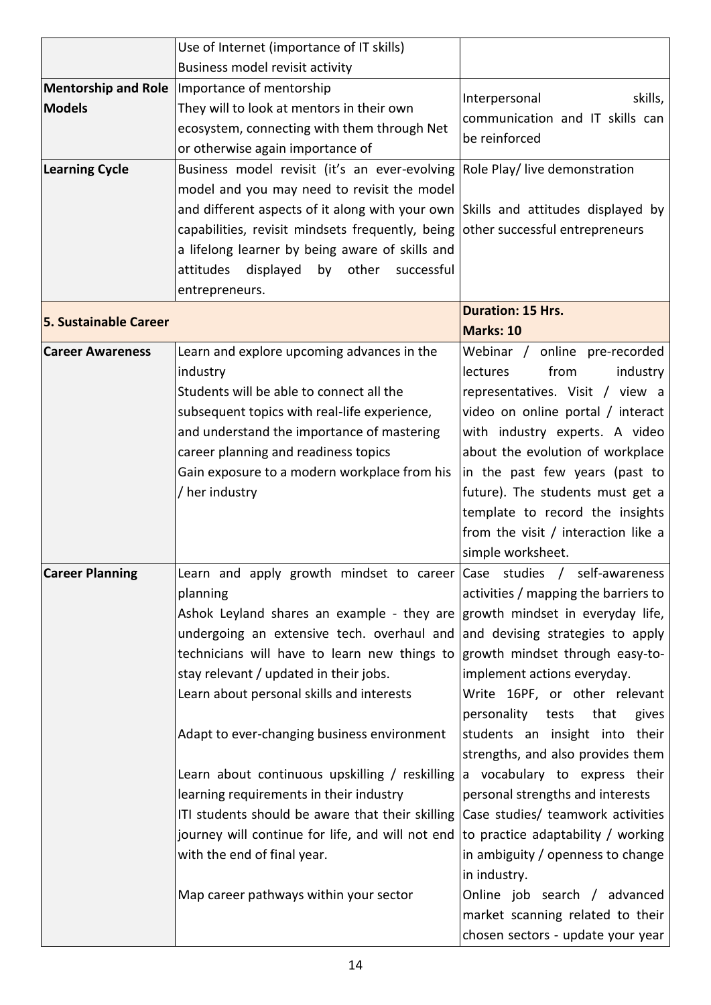|                              | Use of Internet (importance of IT skills)                                         |                                                                        |
|------------------------------|-----------------------------------------------------------------------------------|------------------------------------------------------------------------|
|                              | Business model revisit activity                                                   |                                                                        |
|                              | Mentorship and Role   Importance of mentorship                                    | skills,<br>Interpersonal                                               |
| <b>Models</b>                | They will to look at mentors in their own                                         | communication and IT skills can                                        |
|                              | ecosystem, connecting with them through Net                                       | be reinforced                                                          |
|                              | or otherwise again importance of                                                  |                                                                        |
| <b>Learning Cycle</b>        | Business model revisit (it's an ever-evolving Role Play/ live demonstration       |                                                                        |
|                              | model and you may need to revisit the model                                       |                                                                        |
|                              | and different aspects of it along with your own Skills and attitudes displayed by |                                                                        |
|                              | capabilities, revisit mindsets frequently, being other successful entrepreneurs   |                                                                        |
|                              | a lifelong learner by being aware of skills and                                   |                                                                        |
|                              | other<br>attitudes<br>displayed<br>by<br>successful                               |                                                                        |
|                              | entrepreneurs.                                                                    |                                                                        |
| <b>5. Sustainable Career</b> |                                                                                   | <b>Duration: 15 Hrs.</b>                                               |
|                              |                                                                                   | Marks: 10                                                              |
| <b>Career Awareness</b>      | Learn and explore upcoming advances in the                                        | Webinar / online pre-recorded                                          |
|                              | industry                                                                          | lectures<br>from<br>industry                                           |
|                              | Students will be able to connect all the                                          | representatives. Visit / view a                                        |
|                              | subsequent topics with real-life experience,                                      | video on online portal / interact                                      |
|                              | and understand the importance of mastering                                        | with industry experts. A video                                         |
|                              | career planning and readiness topics                                              | about the evolution of workplace                                       |
|                              | Gain exposure to a modern workplace from his                                      | in the past few years (past to                                         |
|                              | / her industry                                                                    | future). The students must get a                                       |
|                              |                                                                                   | template to record the insights                                        |
|                              |                                                                                   | from the visit / interaction like a                                    |
|                              |                                                                                   | simple worksheet.                                                      |
| <b>Career Planning</b>       | Learn and apply growth mindset to career $\vert$ Case studies / self-awareness    |                                                                        |
|                              | planning                                                                          | activities / mapping the barriers to                                   |
|                              | Ashok Leyland shares an example - they are growth mindset in everyday life,       |                                                                        |
|                              | undergoing an extensive tech. overhaul and                                        | and devising strategies to apply                                       |
|                              | technicians will have to learn new things to                                      | growth mindset through easy-to-                                        |
|                              | stay relevant / updated in their jobs.                                            | implement actions everyday.                                            |
|                              | Learn about personal skills and interests                                         | Write 16PF, or other relevant<br>personality<br>tests<br>that<br>gives |
|                              | Adapt to ever-changing business environment                                       | students an insight into their                                         |
|                              |                                                                                   | strengths, and also provides them                                      |
|                              | Learn about continuous upskilling / reskilling                                    | a vocabulary to express their                                          |
|                              | learning requirements in their industry                                           | personal strengths and interests                                       |
|                              | ITI students should be aware that their skilling                                  | Case studies/ teamwork activities                                      |
|                              | journey will continue for life, and will not end                                  | to practice adaptability / working                                     |
|                              | with the end of final year.                                                       | in ambiguity / openness to change                                      |
|                              |                                                                                   | in industry.                                                           |
|                              | Map career pathways within your sector                                            | Online job search / advanced                                           |
|                              |                                                                                   |                                                                        |
|                              |                                                                                   |                                                                        |
|                              |                                                                                   | market scanning related to their<br>chosen sectors - update your year  |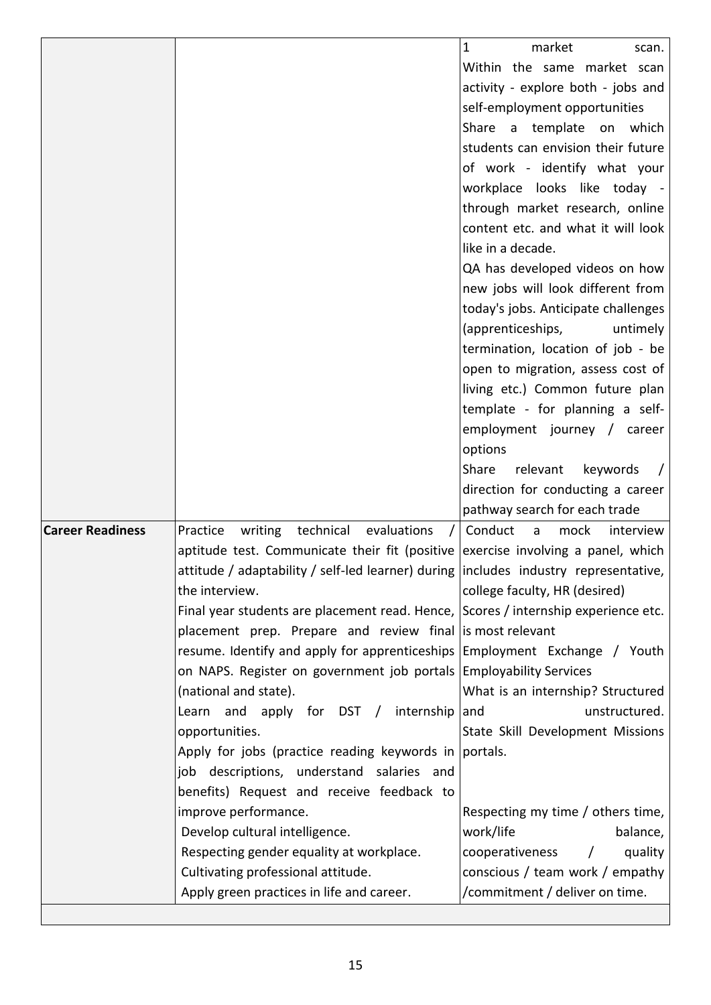|                         |                                                                                       | 1<br>market<br>scan.                   |
|-------------------------|---------------------------------------------------------------------------------------|----------------------------------------|
|                         |                                                                                       | Within the same market scan            |
|                         |                                                                                       | activity - explore both - jobs and     |
|                         |                                                                                       | self-employment opportunities          |
|                         |                                                                                       | Share a template on which              |
|                         |                                                                                       | students can envision their future     |
|                         |                                                                                       | of work - identify what your           |
|                         |                                                                                       | workplace looks like today -           |
|                         |                                                                                       | through market research, online        |
|                         |                                                                                       | content etc. and what it will look     |
|                         |                                                                                       | like in a decade.                      |
|                         |                                                                                       | QA has developed videos on how         |
|                         |                                                                                       | new jobs will look different from      |
|                         |                                                                                       | today's jobs. Anticipate challenges    |
|                         |                                                                                       | (apprenticeships,<br>untimely          |
|                         |                                                                                       | termination, location of job - be      |
|                         |                                                                                       | open to migration, assess cost of      |
|                         |                                                                                       | living etc.) Common future plan        |
|                         |                                                                                       | template - for planning a self-        |
|                         |                                                                                       | employment journey / career            |
|                         |                                                                                       | options                                |
|                         |                                                                                       | Share<br>relevant<br>keywords          |
|                         |                                                                                       | direction for conducting a career      |
|                         |                                                                                       | pathway search for each trade          |
| <b>Career Readiness</b> | technical<br>Practice<br>writing<br>evaluations                                       | Conduct<br>mock<br>interview<br>a      |
|                         | aptitude test. Communicate their fit (positive exercise involving a panel, which      |                                        |
|                         | attitude / adaptability / self-led learner) during  includes industry representative, |                                        |
|                         | the interview.                                                                        | college faculty, HR (desired)          |
|                         | Final year students are placement read. Hence, Scores / internship experience etc.    |                                        |
|                         | placement prep. Prepare and review final is most relevant                             |                                        |
|                         | resume. Identify and apply for apprenticeships Employment Exchange / Youth            |                                        |
|                         | on NAPS. Register on government job portals Employability Services                    |                                        |
|                         | (national and state).                                                                 | What is an internship? Structured      |
|                         | Learn and apply for DST / internship                                                  | unstructured.<br>and                   |
|                         | opportunities.                                                                        | State Skill Development Missions       |
|                         | Apply for jobs (practice reading keywords in  portals.                                |                                        |
|                         | job descriptions, understand salaries and                                             |                                        |
|                         | benefits) Request and receive feedback to                                             |                                        |
|                         | improve performance.                                                                  | Respecting my time / others time,      |
|                         | Develop cultural intelligence.                                                        | work/life<br>balance,                  |
|                         | Respecting gender equality at workplace.                                              | cooperativeness<br>quality<br>$\prime$ |
|                         | Cultivating professional attitude.                                                    | conscious / team work / empathy        |
|                         | Apply green practices in life and career.                                             | /commitment / deliver on time.         |
|                         |                                                                                       |                                        |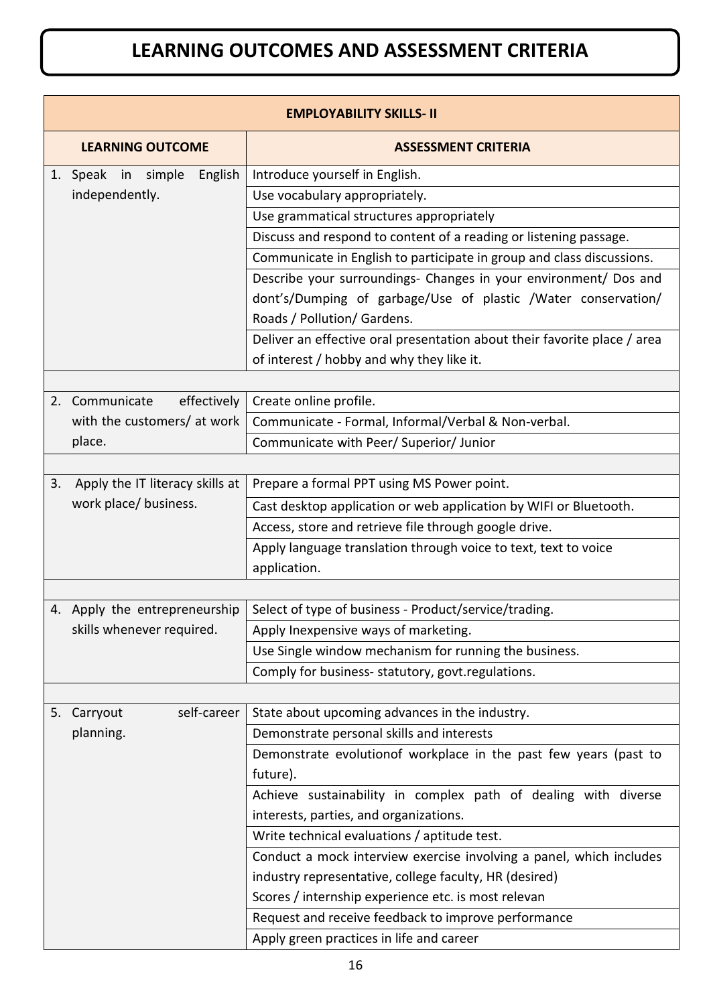# **LEARNING OUTCOMES AND ASSESSMENT CRITERIA**

|    | <b>EMPLOYABILITY SKILLS- II</b>  |                                                                              |  |  |
|----|----------------------------------|------------------------------------------------------------------------------|--|--|
|    | <b>LEARNING OUTCOME</b>          | <b>ASSESSMENT CRITERIA</b>                                                   |  |  |
|    | English<br>1. Speak<br>in simple | Introduce yourself in English.                                               |  |  |
|    | independently.                   | Use vocabulary appropriately.                                                |  |  |
|    |                                  | Use grammatical structures appropriately                                     |  |  |
|    |                                  | Discuss and respond to content of a reading or listening passage.            |  |  |
|    |                                  | Communicate in English to participate in group and class discussions.        |  |  |
|    |                                  | Describe your surroundings- Changes in your environment/ Dos and             |  |  |
|    |                                  | dont's/Dumping of garbage/Use of plastic /Water conservation/                |  |  |
|    |                                  | Roads / Pollution/ Gardens.                                                  |  |  |
|    |                                  | Deliver an effective oral presentation about their favorite place / area     |  |  |
|    |                                  | of interest / hobby and why they like it.                                    |  |  |
|    |                                  |                                                                              |  |  |
|    | 2. Communicate<br>effectively    | Create online profile.                                                       |  |  |
|    | with the customers/ at work      | Communicate - Formal, Informal/Verbal & Non-verbal.                          |  |  |
|    | place.                           | Communicate with Peer/ Superior/ Junior                                      |  |  |
|    |                                  |                                                                              |  |  |
| 3. | Apply the IT literacy skills at  | Prepare a formal PPT using MS Power point.                                   |  |  |
|    | work place/ business.            | Cast desktop application or web application by WIFI or Bluetooth.            |  |  |
|    |                                  | Access, store and retrieve file through google drive.                        |  |  |
|    |                                  | Apply language translation through voice to text, text to voice              |  |  |
|    |                                  | application.                                                                 |  |  |
|    |                                  |                                                                              |  |  |
|    | 4. Apply the entrepreneurship    | Select of type of business - Product/service/trading.                        |  |  |
|    | skills whenever required.        | Apply Inexpensive ways of marketing.                                         |  |  |
|    |                                  | Use Single window mechanism for running the business.                        |  |  |
|    |                                  | Comply for business- statutory, govt.regulations.                            |  |  |
|    | self-career                      |                                                                              |  |  |
|    | 5. Carryout                      | State about upcoming advances in the industry.                               |  |  |
|    | planning.                        | Demonstrate personal skills and interests                                    |  |  |
|    |                                  | Demonstrate evolutionof workplace in the past few years (past to<br>future). |  |  |
|    |                                  | Achieve sustainability in complex path of dealing with diverse               |  |  |
|    |                                  | interests, parties, and organizations.                                       |  |  |
|    |                                  | Write technical evaluations / aptitude test.                                 |  |  |
|    |                                  | Conduct a mock interview exercise involving a panel, which includes          |  |  |
|    |                                  | industry representative, college faculty, HR (desired)                       |  |  |
|    |                                  | Scores / internship experience etc. is most relevan                          |  |  |
|    |                                  | Request and receive feedback to improve performance                          |  |  |
|    |                                  | Apply green practices in life and career                                     |  |  |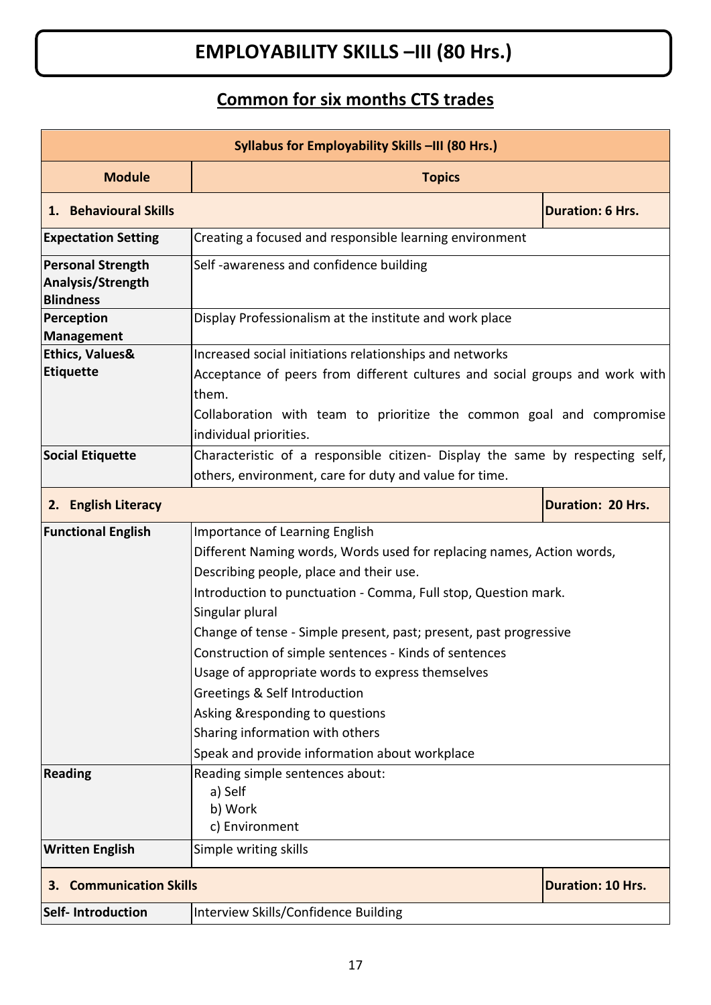# **EMPLOYABILITY SKILLS –III (80 Hrs.)**

# **Common for six months CTS trades**

| Syllabus for Employability Skills -III (80 Hrs.)                  |                                                                                                                                                                                                                                                                                                                                                                                                                                                                                                                                                                                                                       |                          |  |
|-------------------------------------------------------------------|-----------------------------------------------------------------------------------------------------------------------------------------------------------------------------------------------------------------------------------------------------------------------------------------------------------------------------------------------------------------------------------------------------------------------------------------------------------------------------------------------------------------------------------------------------------------------------------------------------------------------|--------------------------|--|
| <b>Module</b>                                                     | <b>Topics</b>                                                                                                                                                                                                                                                                                                                                                                                                                                                                                                                                                                                                         |                          |  |
| 1. Behavioural Skills<br><b>Duration: 6 Hrs.</b>                  |                                                                                                                                                                                                                                                                                                                                                                                                                                                                                                                                                                                                                       |                          |  |
| <b>Expectation Setting</b>                                        | Creating a focused and responsible learning environment                                                                                                                                                                                                                                                                                                                                                                                                                                                                                                                                                               |                          |  |
| <b>Personal Strength</b><br>Analysis/Strength<br><b>Blindness</b> | Self-awareness and confidence building                                                                                                                                                                                                                                                                                                                                                                                                                                                                                                                                                                                |                          |  |
| Perception<br><b>Management</b>                                   | Display Professionalism at the institute and work place                                                                                                                                                                                                                                                                                                                                                                                                                                                                                                                                                               |                          |  |
| <b>Ethics, Values&amp;</b><br><b>Etiquette</b>                    | Increased social initiations relationships and networks<br>Acceptance of peers from different cultures and social groups and work with<br>them.<br>Collaboration with team to prioritize the common goal and compromise<br>individual priorities.                                                                                                                                                                                                                                                                                                                                                                     |                          |  |
| <b>Social Etiquette</b>                                           | Characteristic of a responsible citizen- Display the same by respecting self,<br>others, environment, care for duty and value for time.                                                                                                                                                                                                                                                                                                                                                                                                                                                                               |                          |  |
| 2. English Literacy<br><b>Duration: 20 Hrs.</b>                   |                                                                                                                                                                                                                                                                                                                                                                                                                                                                                                                                                                                                                       |                          |  |
| <b>Functional English</b><br><b>Reading</b>                       | Importance of Learning English<br>Different Naming words, Words used for replacing names, Action words,<br>Describing people, place and their use.<br>Introduction to punctuation - Comma, Full stop, Question mark.<br>Singular plural<br>Change of tense - Simple present, past; present, past progressive<br>Construction of simple sentences - Kinds of sentences<br>Usage of appropriate words to express themselves<br>Greetings & Self Introduction<br>Asking & responding to questions<br>Sharing information with others<br>Speak and provide information about workplace<br>Reading simple sentences about: |                          |  |
|                                                                   | a) Self<br>b) Work<br>c) Environment                                                                                                                                                                                                                                                                                                                                                                                                                                                                                                                                                                                  |                          |  |
| <b>Written English</b>                                            | Simple writing skills                                                                                                                                                                                                                                                                                                                                                                                                                                                                                                                                                                                                 |                          |  |
| <b>Communication Skills</b><br>З.                                 |                                                                                                                                                                                                                                                                                                                                                                                                                                                                                                                                                                                                                       | <b>Duration: 10 Hrs.</b> |  |
| <b>Self-Introduction</b>                                          | Interview Skills/Confidence Building                                                                                                                                                                                                                                                                                                                                                                                                                                                                                                                                                                                  |                          |  |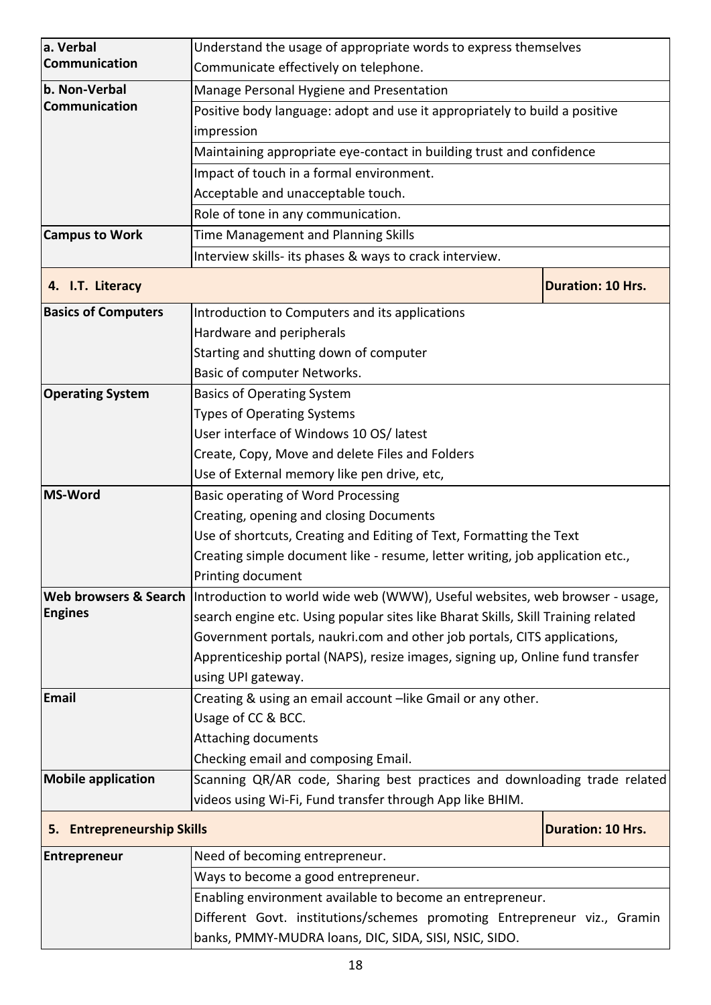| a. Verbal                            | Understand the usage of appropriate words to express themselves                                    |                          |  |
|--------------------------------------|----------------------------------------------------------------------------------------------------|--------------------------|--|
| Communication                        | Communicate effectively on telephone.                                                              |                          |  |
| b. Non-Verbal                        | Manage Personal Hygiene and Presentation                                                           |                          |  |
| Communication                        | Positive body language: adopt and use it appropriately to build a positive                         |                          |  |
|                                      | impression                                                                                         |                          |  |
|                                      | Maintaining appropriate eye-contact in building trust and confidence                               |                          |  |
|                                      | Impact of touch in a formal environment.                                                           |                          |  |
|                                      | Acceptable and unacceptable touch.                                                                 |                          |  |
|                                      | Role of tone in any communication.                                                                 |                          |  |
| <b>Campus to Work</b>                | Time Management and Planning Skills                                                                |                          |  |
|                                      | Interview skills- its phases & ways to crack interview.                                            |                          |  |
| 4. I.T. Literacy                     |                                                                                                    | <b>Duration: 10 Hrs.</b> |  |
| <b>Basics of Computers</b>           | Introduction to Computers and its applications                                                     |                          |  |
|                                      | Hardware and peripherals                                                                           |                          |  |
|                                      | Starting and shutting down of computer                                                             |                          |  |
|                                      | Basic of computer Networks.                                                                        |                          |  |
| <b>Operating System</b>              | <b>Basics of Operating System</b>                                                                  |                          |  |
|                                      | <b>Types of Operating Systems</b>                                                                  |                          |  |
|                                      | User interface of Windows 10 OS/ latest                                                            |                          |  |
|                                      | Create, Copy, Move and delete Files and Folders                                                    |                          |  |
|                                      | Use of External memory like pen drive, etc,                                                        |                          |  |
| <b>MS-Word</b>                       | Basic operating of Word Processing                                                                 |                          |  |
|                                      | Creating, opening and closing Documents                                                            |                          |  |
|                                      | Use of shortcuts, Creating and Editing of Text, Formatting the Text                                |                          |  |
|                                      | Creating simple document like - resume, letter writing, job application etc.,                      |                          |  |
|                                      | Printing document                                                                                  |                          |  |
| <b>Engines</b>                       | Web browsers & Search  Introduction to world wide web (WWW), Useful websites, web browser - usage, |                          |  |
|                                      | search engine etc. Using popular sites like Bharat Skills, Skill Training related                  |                          |  |
|                                      | Government portals, naukri.com and other job portals, CITS applications,                           |                          |  |
|                                      | Apprenticeship portal (NAPS), resize images, signing up, Online fund transfer                      |                          |  |
|                                      | using UPI gateway.                                                                                 |                          |  |
| Email                                | Creating & using an email account -like Gmail or any other.                                        |                          |  |
|                                      | Usage of CC & BCC.<br>Attaching documents                                                          |                          |  |
|                                      | Checking email and composing Email.                                                                |                          |  |
| <b>Mobile application</b>            | Scanning QR/AR code, Sharing best practices and downloading trade related                          |                          |  |
|                                      | videos using Wi-Fi, Fund transfer through App like BHIM.                                           |                          |  |
|                                      |                                                                                                    |                          |  |
| <b>Entrepreneurship Skills</b><br>5. |                                                                                                    | <b>Duration: 10 Hrs.</b> |  |
| <b>Entrepreneur</b>                  | Need of becoming entrepreneur.                                                                     |                          |  |
|                                      | Ways to become a good entrepreneur.                                                                |                          |  |
|                                      | Enabling environment available to become an entrepreneur.                                          |                          |  |
|                                      | Different Govt. institutions/schemes promoting Entrepreneur viz., Gramin                           |                          |  |
|                                      | banks, PMMY-MUDRA loans, DIC, SIDA, SISI, NSIC, SIDO.                                              |                          |  |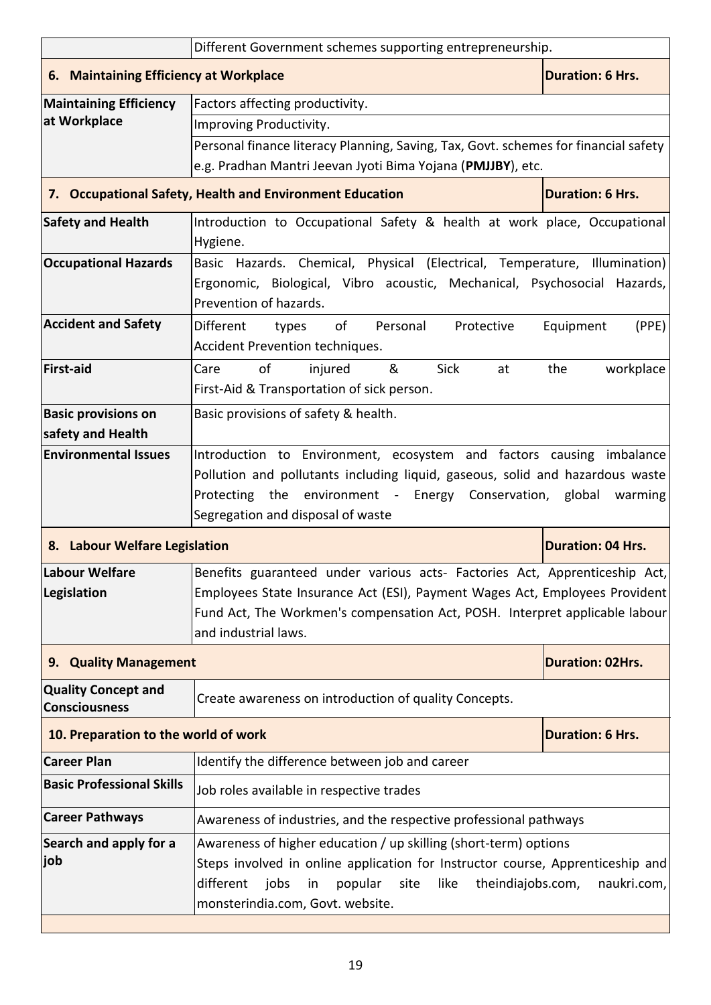| Different Government schemes supporting entrepreneurship. |                                                                                                    |                          |  |
|-----------------------------------------------------------|----------------------------------------------------------------------------------------------------|--------------------------|--|
| 6. Maintaining Efficiency at Workplace                    |                                                                                                    | <b>Duration: 6 Hrs.</b>  |  |
| <b>Maintaining Efficiency</b>                             | Factors affecting productivity.                                                                    |                          |  |
| at Workplace                                              | Improving Productivity.                                                                            |                          |  |
|                                                           | Personal finance literacy Planning, Saving, Tax, Govt. schemes for financial safety                |                          |  |
|                                                           | e.g. Pradhan Mantri Jeevan Jyoti Bima Yojana (PMJJBY), etc.                                        |                          |  |
|                                                           | 7. Occupational Safety, Health and Environment Education                                           | <b>Duration: 6 Hrs.</b>  |  |
| <b>Safety and Health</b>                                  | Introduction to Occupational Safety & health at work place, Occupational                           |                          |  |
|                                                           | Hygiene.                                                                                           |                          |  |
| <b>Occupational Hazards</b>                               | Basic Hazards. Chemical, Physical (Electrical, Temperature, Illumination)                          |                          |  |
|                                                           | Ergonomic, Biological, Vibro acoustic, Mechanical, Psychosocial Hazards,<br>Prevention of hazards. |                          |  |
| <b>Accident and Safety</b>                                | Different<br>of<br>Personal<br>Protective<br>types                                                 | Equipment<br>(PPE)       |  |
|                                                           | Accident Prevention techniques.                                                                    |                          |  |
| <b>First-aid</b>                                          | of<br>&<br><b>Sick</b><br>injured<br>Care<br>at                                                    | the<br>workplace         |  |
|                                                           | First-Aid & Transportation of sick person.                                                         |                          |  |
| <b>Basic provisions on</b>                                | Basic provisions of safety & health.                                                               |                          |  |
| safety and Health                                         |                                                                                                    |                          |  |
| <b>Environmental Issues</b>                               | Introduction to Environment, ecosystem and factors causing imbalance                               |                          |  |
|                                                           | Pollution and pollutants including liquid, gaseous, solid and hazardous waste                      |                          |  |
|                                                           | Protecting the environment - Energy Conservation, global<br>warming                                |                          |  |
|                                                           | Segregation and disposal of waste                                                                  |                          |  |
| 8. Labour Welfare Legislation                             |                                                                                                    | <b>Duration: 04 Hrs.</b> |  |
| Labour Welfare                                            | Benefits guaranteed under various acts- Factories Act, Apprenticeship Act,                         |                          |  |
| Legislation                                               | Employees State Insurance Act (ESI), Payment Wages Act, Employees Provident                        |                          |  |
|                                                           |                                                                                                    |                          |  |
|                                                           | Fund Act, The Workmen's compensation Act, POSH. Interpret applicable labour                        |                          |  |
|                                                           | and industrial laws.                                                                               |                          |  |
| 9. Quality Management                                     |                                                                                                    | <b>Duration: 02Hrs.</b>  |  |
| <b>Quality Concept and</b><br><b>Consciousness</b>        | Create awareness on introduction of quality Concepts.                                              |                          |  |
| 10. Preparation to the world of work                      |                                                                                                    | <b>Duration: 6 Hrs.</b>  |  |
| <b>Career Plan</b>                                        | Identify the difference between job and career                                                     |                          |  |
| <b>Basic Professional Skills</b>                          | Job roles available in respective trades                                                           |                          |  |
| <b>Career Pathways</b>                                    | Awareness of industries, and the respective professional pathways                                  |                          |  |
| Search and apply for a                                    | Awareness of higher education / up skilling (short-term) options                                   |                          |  |
| job                                                       | Steps involved in online application for Instructor course, Apprenticeship and                     |                          |  |
|                                                           | jobs<br>different<br>popular<br>site<br>like<br>theindiajobs.com,<br>in                            |                          |  |
|                                                           | monsterindia.com, Govt. website.                                                                   | naukri.com,              |  |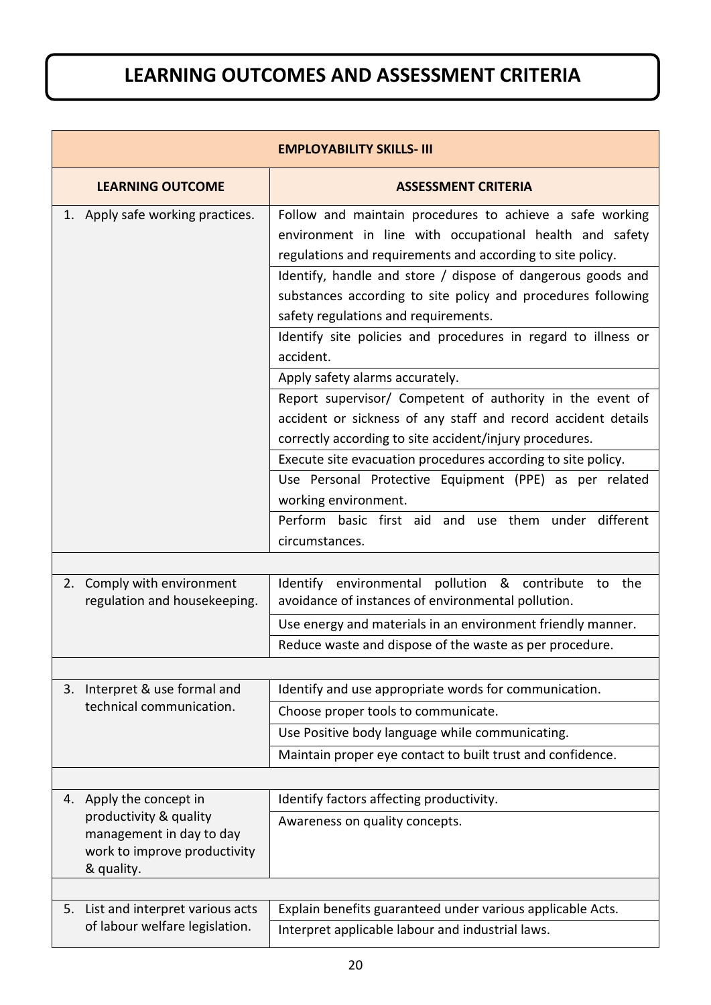# **LEARNING OUTCOMES AND ASSESSMENT CRITERIA**

| <b>EMPLOYABILITY SKILLS- III</b>                                                                 |                                                                                                                                                                                                                                                                                                                                                                                                                                                                                                                                                                                                                                                                                                                                                                                              |  |  |
|--------------------------------------------------------------------------------------------------|----------------------------------------------------------------------------------------------------------------------------------------------------------------------------------------------------------------------------------------------------------------------------------------------------------------------------------------------------------------------------------------------------------------------------------------------------------------------------------------------------------------------------------------------------------------------------------------------------------------------------------------------------------------------------------------------------------------------------------------------------------------------------------------------|--|--|
| <b>LEARNING OUTCOME</b>                                                                          | <b>ASSESSMENT CRITERIA</b>                                                                                                                                                                                                                                                                                                                                                                                                                                                                                                                                                                                                                                                                                                                                                                   |  |  |
| 1. Apply safe working practices.                                                                 | Follow and maintain procedures to achieve a safe working<br>environment in line with occupational health and safety<br>regulations and requirements and according to site policy.<br>Identify, handle and store / dispose of dangerous goods and<br>substances according to site policy and procedures following<br>safety regulations and requirements.<br>Identify site policies and procedures in regard to illness or<br>accident.<br>Apply safety alarms accurately.<br>Report supervisor/ Competent of authority in the event of<br>accident or sickness of any staff and record accident details<br>correctly according to site accident/injury procedures.<br>Execute site evacuation procedures according to site policy.<br>Use Personal Protective Equipment (PPE) as per related |  |  |
|                                                                                                  | working environment.<br>Perform basic first aid and use them under different<br>circumstances.                                                                                                                                                                                                                                                                                                                                                                                                                                                                                                                                                                                                                                                                                               |  |  |
|                                                                                                  |                                                                                                                                                                                                                                                                                                                                                                                                                                                                                                                                                                                                                                                                                                                                                                                              |  |  |
| 2. Comply with environment<br>regulation and housekeeping.                                       | Identify environmental pollution & contribute to the<br>avoidance of instances of environmental pollution.                                                                                                                                                                                                                                                                                                                                                                                                                                                                                                                                                                                                                                                                                   |  |  |
|                                                                                                  | Use energy and materials in an environment friendly manner.                                                                                                                                                                                                                                                                                                                                                                                                                                                                                                                                                                                                                                                                                                                                  |  |  |
|                                                                                                  | Reduce waste and dispose of the waste as per procedure.                                                                                                                                                                                                                                                                                                                                                                                                                                                                                                                                                                                                                                                                                                                                      |  |  |
| Interpret & use formal and<br>3.                                                                 | Identify and use appropriate words for communication.                                                                                                                                                                                                                                                                                                                                                                                                                                                                                                                                                                                                                                                                                                                                        |  |  |
| technical communication.                                                                         | Choose proper tools to communicate.                                                                                                                                                                                                                                                                                                                                                                                                                                                                                                                                                                                                                                                                                                                                                          |  |  |
|                                                                                                  | Use Positive body language while communicating.                                                                                                                                                                                                                                                                                                                                                                                                                                                                                                                                                                                                                                                                                                                                              |  |  |
|                                                                                                  | Maintain proper eye contact to built trust and confidence.                                                                                                                                                                                                                                                                                                                                                                                                                                                                                                                                                                                                                                                                                                                                   |  |  |
|                                                                                                  |                                                                                                                                                                                                                                                                                                                                                                                                                                                                                                                                                                                                                                                                                                                                                                                              |  |  |
| 4. Apply the concept in                                                                          | Identify factors affecting productivity.                                                                                                                                                                                                                                                                                                                                                                                                                                                                                                                                                                                                                                                                                                                                                     |  |  |
| productivity & quality<br>management in day to day<br>work to improve productivity<br>& quality. | Awareness on quality concepts.                                                                                                                                                                                                                                                                                                                                                                                                                                                                                                                                                                                                                                                                                                                                                               |  |  |
|                                                                                                  |                                                                                                                                                                                                                                                                                                                                                                                                                                                                                                                                                                                                                                                                                                                                                                                              |  |  |
| List and interpret various acts<br>5.<br>of labour welfare legislation.                          | Explain benefits guaranteed under various applicable Acts.<br>Interpret applicable labour and industrial laws.                                                                                                                                                                                                                                                                                                                                                                                                                                                                                                                                                                                                                                                                               |  |  |
|                                                                                                  |                                                                                                                                                                                                                                                                                                                                                                                                                                                                                                                                                                                                                                                                                                                                                                                              |  |  |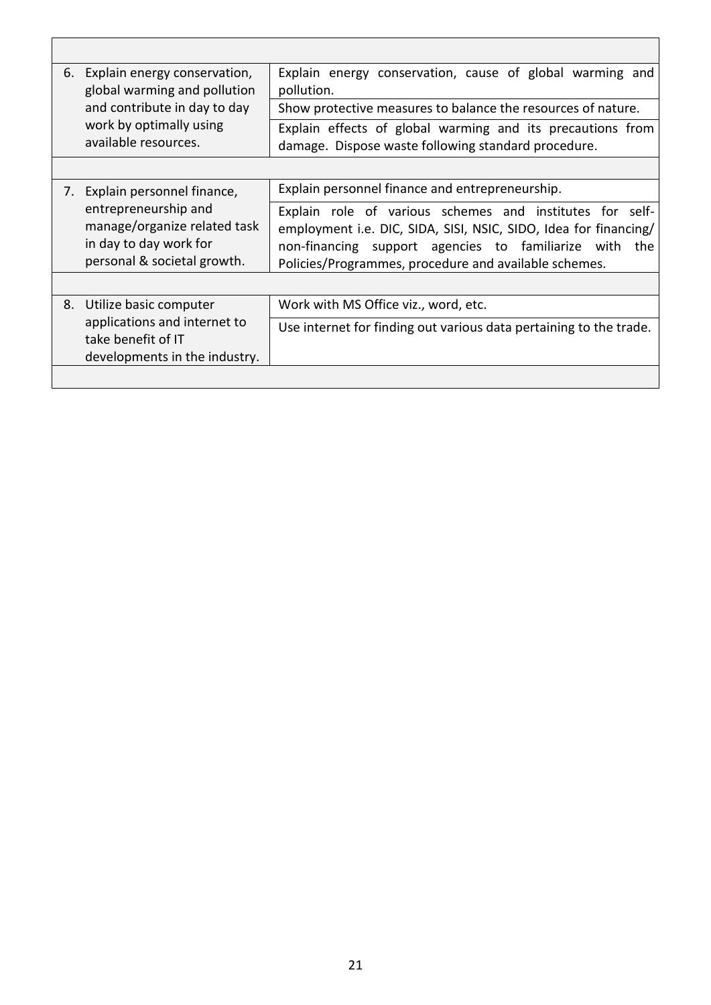| 6.                                                                                                            | Explain energy conservation,<br>global warming and pollution                                                                                                                                                                                       | Explain energy conservation, cause of global warming and<br>pollution.                                            |
|---------------------------------------------------------------------------------------------------------------|----------------------------------------------------------------------------------------------------------------------------------------------------------------------------------------------------------------------------------------------------|-------------------------------------------------------------------------------------------------------------------|
|                                                                                                               | and contribute in day to day                                                                                                                                                                                                                       | Show protective measures to balance the resources of nature.                                                      |
|                                                                                                               | work by optimally using<br>available resources.                                                                                                                                                                                                    | Explain effects of global warming and its precautions from<br>damage. Dispose waste following standard procedure. |
|                                                                                                               |                                                                                                                                                                                                                                                    |                                                                                                                   |
| 7.                                                                                                            | Explain personnel finance,                                                                                                                                                                                                                         | Explain personnel finance and entrepreneurship.                                                                   |
| entrepreneurship and<br>manage/organize related task<br>in day to day work for<br>personal & societal growth. | Explain role of various schemes and institutes for self-<br>employment i.e. DIC, SIDA, SISI, NSIC, SIDO, Idea for financing/<br>non-financing support agencies to familiarize with<br>the<br>Policies/Programmes, procedure and available schemes. |                                                                                                                   |
|                                                                                                               |                                                                                                                                                                                                                                                    |                                                                                                                   |
| 8.                                                                                                            | Utilize basic computer                                                                                                                                                                                                                             | Work with MS Office viz., word, etc.                                                                              |
|                                                                                                               | applications and internet to<br>take benefit of IT<br>developments in the industry.                                                                                                                                                                | Use internet for finding out various data pertaining to the trade.                                                |
|                                                                                                               |                                                                                                                                                                                                                                                    |                                                                                                                   |

 $\overline{\Gamma}$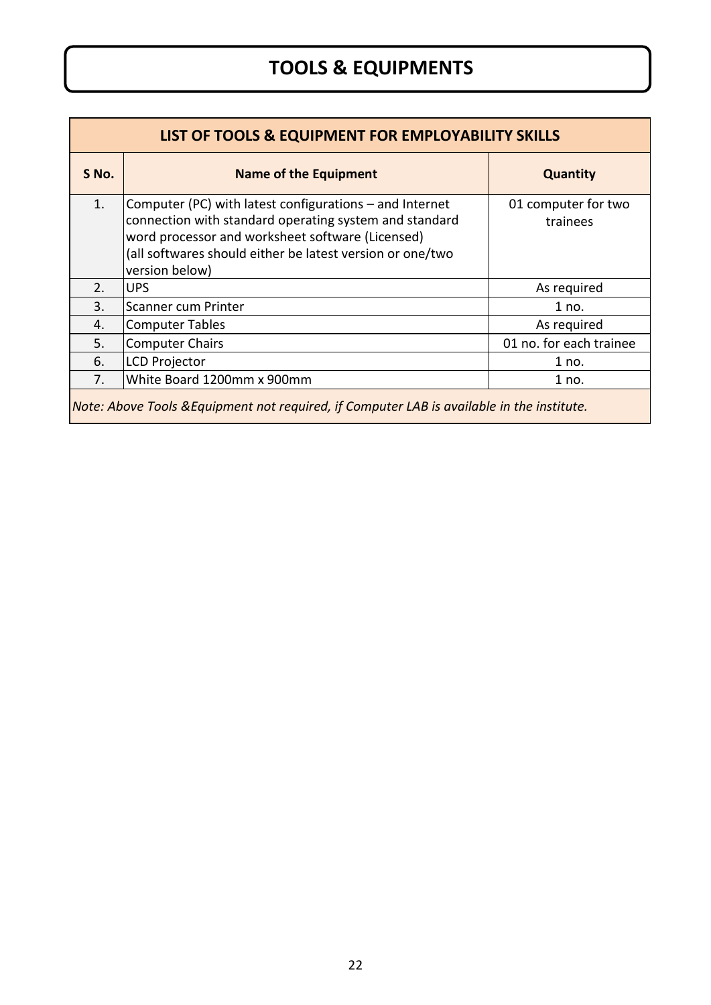# **TOOLS & EQUIPMENTS**

| LIST OF TOOLS & EQUIPMENT FOR EMPLOYABILITY SKILLS                                         |                                                                                                                                                                                                                                                        |                                 |  |
|--------------------------------------------------------------------------------------------|--------------------------------------------------------------------------------------------------------------------------------------------------------------------------------------------------------------------------------------------------------|---------------------------------|--|
| S No.                                                                                      | <b>Name of the Equipment</b>                                                                                                                                                                                                                           | <b>Quantity</b>                 |  |
| 1.                                                                                         | Computer (PC) with latest configurations $-$ and Internet<br>connection with standard operating system and standard<br>word processor and worksheet software (Licensed)<br>(all softwares should either be latest version or one/two<br>version below) | 01 computer for two<br>trainees |  |
| 2.                                                                                         | <b>UPS</b>                                                                                                                                                                                                                                             | As required                     |  |
| 3.                                                                                         | Scanner cum Printer                                                                                                                                                                                                                                    | 1 no.                           |  |
| 4.                                                                                         | <b>Computer Tables</b>                                                                                                                                                                                                                                 | As required                     |  |
| 5.                                                                                         | <b>Computer Chairs</b>                                                                                                                                                                                                                                 | 01 no. for each trainee         |  |
| 6.                                                                                         | <b>LCD Projector</b>                                                                                                                                                                                                                                   | 1 no.                           |  |
| 7.                                                                                         | White Board 1200mm x 900mm                                                                                                                                                                                                                             | 1 no.                           |  |
| Note: Above Tools & Equipment not required, if Computer LAB is available in the institute. |                                                                                                                                                                                                                                                        |                                 |  |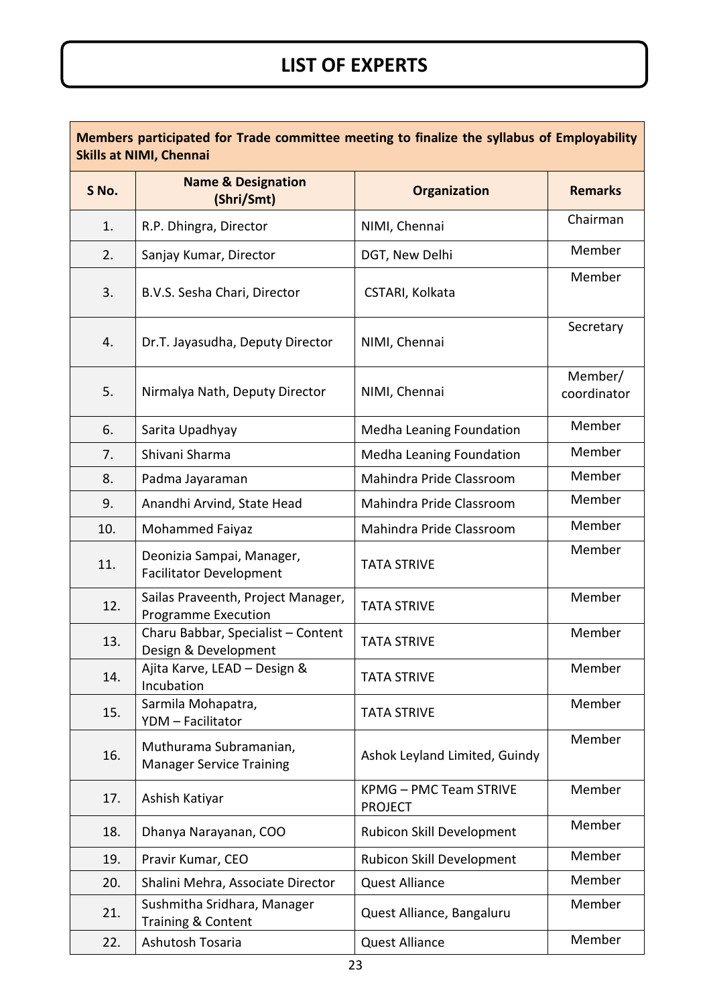# **LIST OF EXPERTS**

 $\mathbf{r}$ 

| Members participated for Trade committee meeting to finalize the syllabus of Employability<br><b>Skills at NIMI, Chennai</b> |                                                                  |                                                 |                        |
|------------------------------------------------------------------------------------------------------------------------------|------------------------------------------------------------------|-------------------------------------------------|------------------------|
| S No.                                                                                                                        | <b>Name &amp; Designation</b><br>(Shri/Smt)                      | <b>Organization</b>                             | <b>Remarks</b>         |
| 1.                                                                                                                           | R.P. Dhingra, Director                                           | NIMI, Chennai                                   | Chairman               |
| 2.                                                                                                                           | Sanjay Kumar, Director                                           | DGT, New Delhi                                  | Member                 |
| 3.                                                                                                                           | B.V.S. Sesha Chari, Director                                     | CSTARI, Kolkata                                 | Member                 |
| 4.                                                                                                                           | Dr.T. Jayasudha, Deputy Director                                 | NIMI, Chennai                                   | Secretary              |
| 5.                                                                                                                           | Nirmalya Nath, Deputy Director                                   | NIMI, Chennai                                   | Member/<br>coordinator |
| 6.                                                                                                                           | Sarita Upadhyay                                                  | Medha Leaning Foundation                        | Member                 |
| 7.                                                                                                                           | Shivani Sharma                                                   | Medha Leaning Foundation                        | Member                 |
| 8.                                                                                                                           | Padma Jayaraman                                                  | Mahindra Pride Classroom                        | Member                 |
| 9.                                                                                                                           | Anandhi Arvind, State Head                                       | Mahindra Pride Classroom                        | Member                 |
| 10.                                                                                                                          | Mohammed Faiyaz                                                  | Mahindra Pride Classroom                        | Member                 |
| 11.                                                                                                                          | Deonizia Sampai, Manager,<br><b>Facilitator Development</b>      | <b>TATA STRIVE</b>                              | Member                 |
| 12.                                                                                                                          | Sailas Praveenth, Project Manager,<br><b>Programme Execution</b> | <b>TATA STRIVE</b>                              | Member                 |
| 13.                                                                                                                          | Charu Babbar, Specialist - Content<br>Design & Development       | <b>TATA STRIVE</b>                              | Member                 |
| 14.                                                                                                                          | Ajita Karve, LEAD - Design &<br>Incubation                       | <b>TATA STRIVE</b>                              | Member                 |
| 15.                                                                                                                          | Sarmila Mohapatra,<br>YDM - Facilitator                          | <b>TATA STRIVE</b>                              | Member                 |
| 16.                                                                                                                          | Muthurama Subramanian,<br><b>Manager Service Training</b>        | Ashok Leyland Limited, Guindy                   | Member                 |
| 17.                                                                                                                          | Ashish Katiyar                                                   | <b>KPMG - PMC Team STRIVE</b><br><b>PROJECT</b> | Member                 |
| 18.                                                                                                                          | Dhanya Narayanan, COO                                            | Rubicon Skill Development                       | Member                 |
| 19.                                                                                                                          | Pravir Kumar, CEO                                                | Rubicon Skill Development                       | Member                 |
| 20.                                                                                                                          | Shalini Mehra, Associate Director                                | <b>Quest Alliance</b>                           | Member                 |
| 21.                                                                                                                          | Sushmitha Sridhara, Manager<br>Training & Content                | Quest Alliance, Bangaluru                       | Member                 |
| 22.                                                                                                                          | Ashutosh Tosaria                                                 | <b>Quest Alliance</b>                           | Member                 |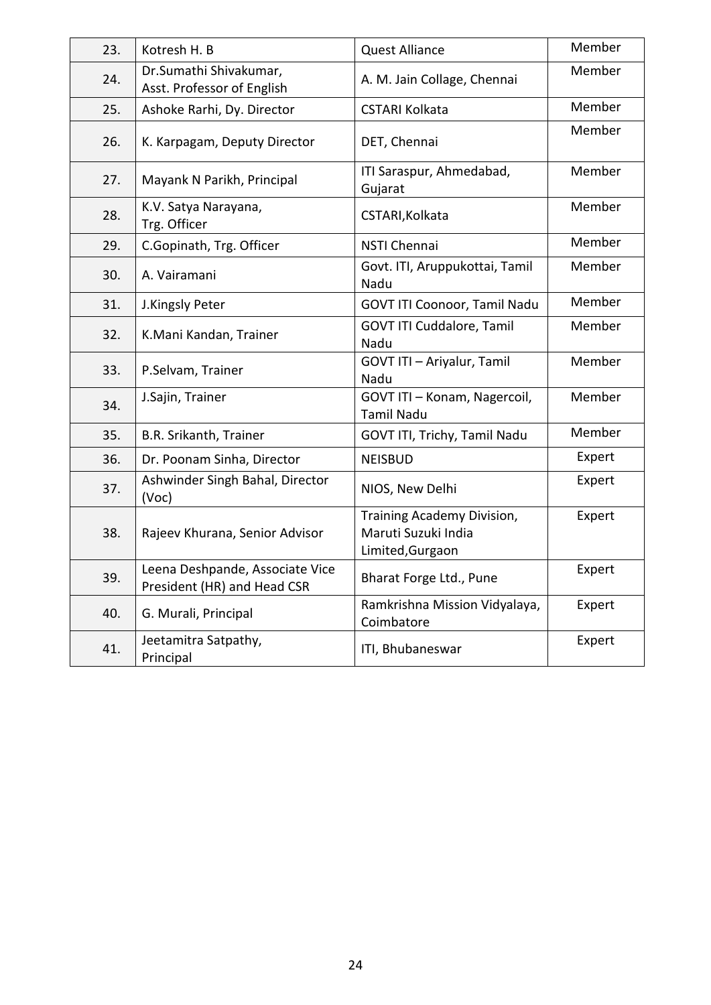| 23. | Kotresh H. B                                                   | <b>Quest Alliance</b>                                                 | Member |
|-----|----------------------------------------------------------------|-----------------------------------------------------------------------|--------|
| 24. | Dr.Sumathi Shivakumar,<br>Asst. Professor of English           | A. M. Jain Collage, Chennai                                           | Member |
| 25. | Ashoke Rarhi, Dy. Director                                     | <b>CSTARI Kolkata</b>                                                 | Member |
| 26. | K. Karpagam, Deputy Director                                   | DET, Chennai                                                          | Member |
| 27. | Mayank N Parikh, Principal                                     | ITI Saraspur, Ahmedabad,<br>Gujarat                                   | Member |
| 28. | K.V. Satya Narayana,<br>Trg. Officer                           | CSTARI, Kolkata                                                       | Member |
| 29. | C.Gopinath, Trg. Officer                                       | NSTI Chennai                                                          | Member |
| 30. | A. Vairamani                                                   | Govt. ITI, Aruppukottai, Tamil<br>Nadu                                | Member |
| 31. | J.Kingsly Peter                                                | GOVT ITI Coonoor, Tamil Nadu                                          | Member |
| 32. | K.Mani Kandan, Trainer                                         | GOVT ITI Cuddalore, Tamil<br>Nadu                                     | Member |
| 33. | P.Selvam, Trainer                                              | GOVT ITI - Ariyalur, Tamil<br>Nadu                                    | Member |
| 34. | J.Sajin, Trainer                                               | GOVT ITI - Konam, Nagercoil,<br><b>Tamil Nadu</b>                     | Member |
| 35. | B.R. Srikanth, Trainer                                         | GOVT ITI, Trichy, Tamil Nadu                                          | Member |
| 36. | Dr. Poonam Sinha, Director                                     | <b>NEISBUD</b>                                                        | Expert |
| 37. | Ashwinder Singh Bahal, Director<br>(Voc)                       | NIOS, New Delhi                                                       | Expert |
| 38. | Rajeev Khurana, Senior Advisor                                 | Training Academy Division,<br>Maruti Suzuki India<br>Limited, Gurgaon | Expert |
| 39. | Leena Deshpande, Associate Vice<br>President (HR) and Head CSR | Bharat Forge Ltd., Pune                                               | Expert |
| 40. | G. Murali, Principal                                           | Ramkrishna Mission Vidyalaya,<br>Coimbatore                           | Expert |
| 41. | Jeetamitra Satpathy,<br>Principal                              | ITI, Bhubaneswar                                                      | Expert |